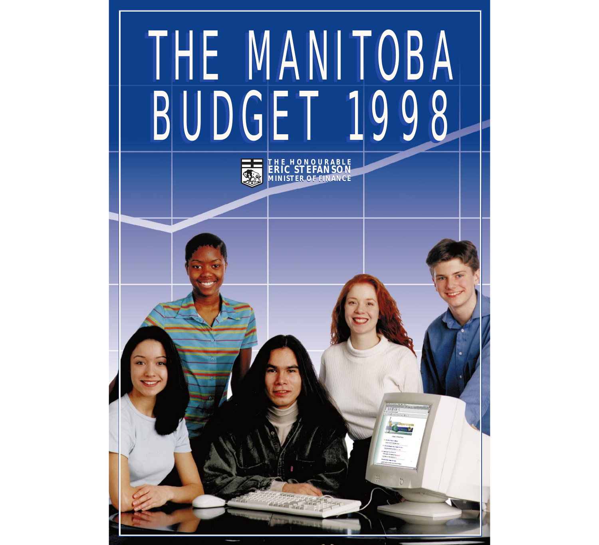# THE MANITOBA BUDGET 1998 **THE HONOURABLE ERIC STEFANSON MINISTER OF FINANCE** THE MANITOBA<br>BUDGET 1998 BUDGET 1998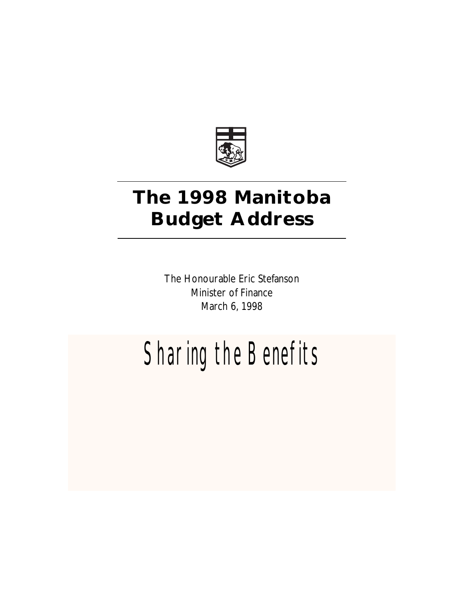

# **The 1998 Manitoba Budget Address**

The Honourable Eric Stefanson Minister of Finance March 6, 1998

# Sharing the Benefits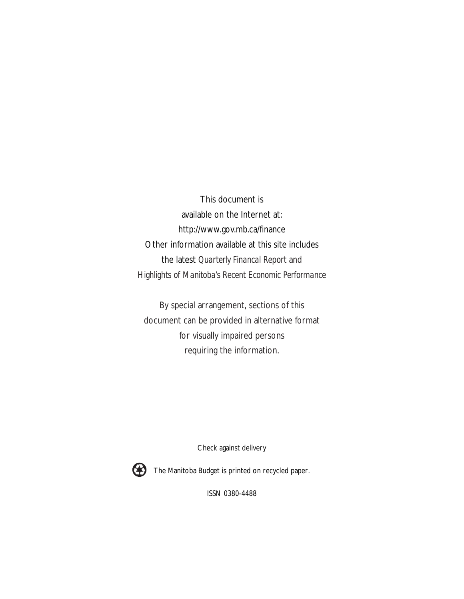This document is available on the Internet at: http://www.gov.mb.ca/finance Other information available at this site includes the latest *Quarterly Financal Report* and *Highlights of Manitoba's Recent Economic Performance*

By special arrangement, sections of this document can be provided in alternative format for visually impaired persons requiring the information.

Check against delivery



The Manitoba Budget is printed on recycled paper.

ISSN 0380-4488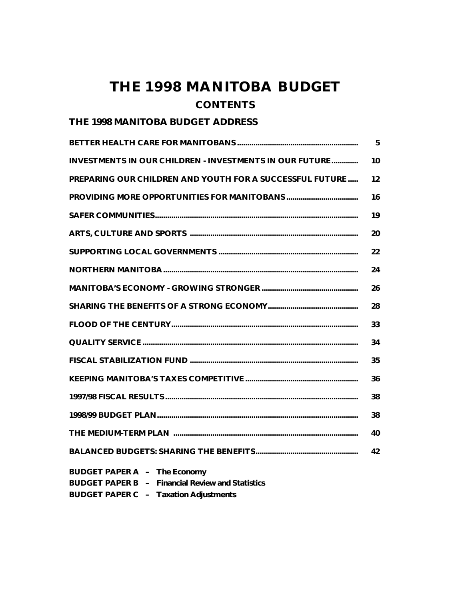## **THE 1998 MANITOBA BUDGET CONTENTS**

#### **THE 1998 MANITOBA BUDGET ADDRESS**

|                                                                                                | 5. |
|------------------------------------------------------------------------------------------------|----|
| <b>INVESTMENTS IN OUR CHILDREN - INVESTMENTS IN OUR FUTURE</b>                                 | 10 |
| <b>PREPARING OUR CHILDREN AND YOUTH FOR A SUCCESSFUL FUTURE</b>                                | 12 |
|                                                                                                | 16 |
|                                                                                                | 19 |
|                                                                                                | 20 |
|                                                                                                | 22 |
|                                                                                                | 24 |
|                                                                                                | 26 |
|                                                                                                | 28 |
|                                                                                                | 33 |
|                                                                                                | 34 |
|                                                                                                | 35 |
|                                                                                                | 36 |
|                                                                                                | 38 |
|                                                                                                | 38 |
|                                                                                                | 40 |
|                                                                                                | 42 |
| <b>BUDGET PAPER A - The Economy</b><br><b>BUDGET PAPER B - Financial Review and Statistics</b> |    |

**BUDGET PAPER C – Taxation Adjustments**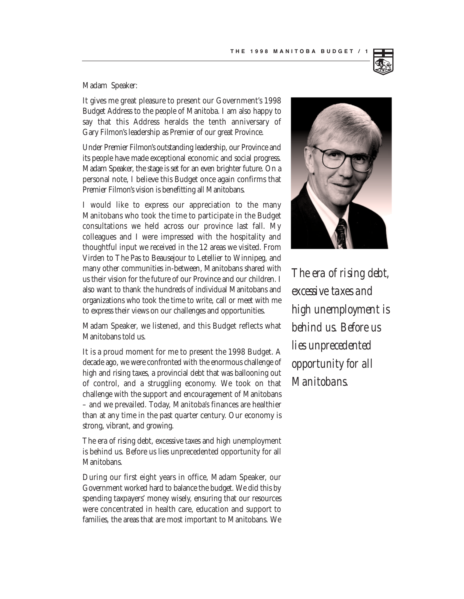#### Madam Speaker:

It gives me great pleasure to present our Government's 1998 Budget Address to the people of Manitoba. I am also happy to say that this Address heralds the tenth anniversary of Gary Filmon's leadership as Premier of our great Province.

Under Premier Filmon's outstanding leadership, our Province and its people have made exceptional economic and social progress. Madam Speaker, the stage is set for an even brighter future. On a personal note, I believe this Budget once again confirms that Premier Filmon's vision is benefitting all Manitobans.

I would like to express our appreciation to the many Manitobans who took the time to participate in the Budget consultations we held across our province last fall. My colleagues and I were impressed with the hospitality and thoughtful input we received in the 12 areas we visited. From Virden to The Pas to Beausejour to Letellier to Winnipeg, and many other communities in-between, Manitobans shared with us their vision for the future of our Province and our children. I also want to thank the hundreds of individual Manitobans and organizations who took the time to write, call or meet with me to express their views on our challenges and opportunities.

Madam Speaker, we listened, and this Budget reflects what Manitobans told us.

It is a proud moment for me to present the 1998 Budget. A decade ago, we were confronted with the enormous challenge of high and rising taxes, a provincial debt that was ballooning out of control, and a struggling economy. We took on that challenge with the support and encouragement of Manitobans – and we prevailed. Today, Manitoba's finances are healthier than at any time in the past quarter century. Our economy is strong, vibrant, and growing.

The era of rising debt, excessive taxes and high unemployment is behind us. Before us lies unprecedented opportunity for all Manitobans.

During our first eight years in office, Madam Speaker, our Government worked hard to balance the budget. We did this by spending taxpayers' money wisely, ensuring that our resources were concentrated in health care, education and support to families, the areas that are most important to Manitobans. We



*The era of rising debt, excessive taxes and high unemployment is behind us. Before us lies unprecedented opportunity for all Manitobans.*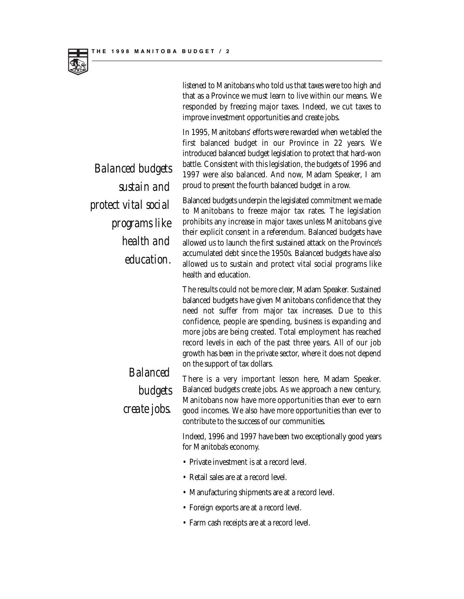listened to Manitobans who told us that taxes were too high and that as a Province we must learn to live within our means. We responded by freezing major taxes. Indeed, we cut taxes to improve investment opportunities and create jobs.

In 1995, Manitobans' efforts were rewarded when we tabled the first balanced budget in our Province in 22 years. We introduced balanced budget legislation to protect that hard-won battle. Consistent with this legislation, the budgets of 1996 and 1997 were also balanced. And now, Madam Speaker, I am proud to present the fourth balanced budget in a row.

Balanced budgets underpin the legislated commitment we made to Manitobans to freeze major tax rates. The legislation prohibits any increase in major taxes unless Manitobans give their explicit consent in a referendum. Balanced budgets have allowed us to launch the first sustained attack on the Province's accumulated debt since the 1950s. Balanced budgets have also allowed us to sustain and protect vital social programs like health and education.

The results could not be more clear, Madam Speaker. Sustained balanced budgets have given Manitobans confidence that they need not suffer from major tax increases. Due to this confidence, people are spending, business is expanding and more jobs are being created. Total employment has reached record levels in each of the past three years. All of our job growth has been in the private sector, where it does not depend

on the support of tax dollars. There is a very important lesson here, Madam Speaker. Balanced budgets create jobs. As we approach a new century, Manitobans now have more opportunities than ever to earn good incomes. We also have more opportunities than ever to

Indeed, 1996 and 1997 have been two exceptionally good years for Manitoba's economy.

• Private investment is at a record level.

contribute to the success of our communities.

- Retail sales are at a record level.
- Manufacturing shipments are at a record level.
- Foreign exports are at a record level.
- Farm cash receipts are at a record level.

*Balanced budgets sustain and protect vital social programs like health and education.*

## *Balanced budgets create jobs.*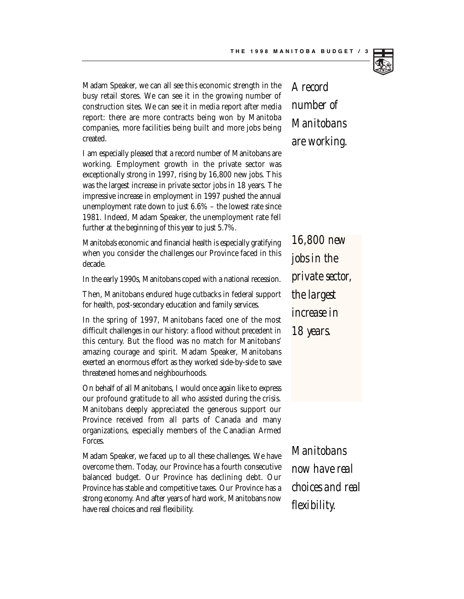

Madam Speaker, we can all see this economic strength in the busy retail stores. We can see it in the growing number of construction sites. We can see it in media report after media report: there are more contracts being won by Manitoba companies, more facilities being built and more jobs being created.

I am especially pleased that a record number of Manitobans are working. Employment growth in the private sector was exceptionally strong in 1997, rising by 16,800 new jobs. This was the largest increase in private sector jobs in 18 years. The impressive increase in employment in 1997 pushed the annual unemployment rate down to just 6.6% – the lowest rate since 1981. Indeed, Madam Speaker, the unemployment rate fell further at the beginning of this year to just 5.7%.

Manitoba's economic and financial health is especially gratifying when you consider the challenges our Province faced in this decade.

In the early 1990s, Manitobans coped with a national recession.

Then, Manitobans endured huge cutbacks in federal support for health, post-secondary education and family services.

In the spring of 1997, Manitobans faced one of the most difficult challenges in our history: a flood without precedent in this century. But the flood was no match for Manitobans' amazing courage and spirit. Madam Speaker, Manitobans exerted an enormous effort as they worked side-by-side to save threatened homes and neighbourhoods.

On behalf of all Manitobans, I would once again like to express our profound gratitude to all who assisted during the crisis. Manitobans deeply appreciated the generous support our Province received from all parts of Canada and many organizations, especially members of the Canadian Armed Forces.

Madam Speaker, we faced up to all these challenges. We have overcome them. Today, our Province has a fourth consecutive balanced budget. Our Province has declining debt. Our Province has stable and competitive taxes. Our Province has a strong economy. And after years of hard work, Manitobans now have real choices and real flexibility.

*A record number of Manitobans are working.*

*16,800 new jobs in the private sector, the largest increase in 18 years.*

*Manitobans now have real choices and real flexibility.*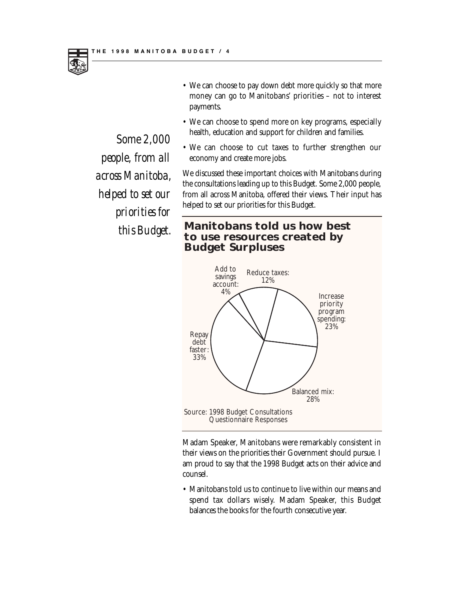

- We can choose to pay down debt more quickly so that more money can go to Manitobans' priorities – not to interest payments.
- We can choose to spend more on key programs, especially health, education and support for children and families.
- We can choose to cut taxes to further strengthen our economy and create more jobs.

We discussed these important choices with Manitobans during the consultations leading up to this Budget. Some 2,000 people, from all across Manitoba, offered their views. Their input has helped to set our priorities for this Budget.

*this Budget.* **Manitobans told us how best to use resources created by Budget Surpluses**



Madam Speaker, Manitobans were remarkably consistent in their views on the priorities their Government should pursue. I am proud to say that the 1998 Budget acts on their advice and counsel.

• Manitobans told us to continue to live within our means and spend tax dollars wisely. Madam Speaker, this Budget balances the books for the fourth consecutive year.

*Some 2,000 people, from all across Manitoba, helped to set our priorities for*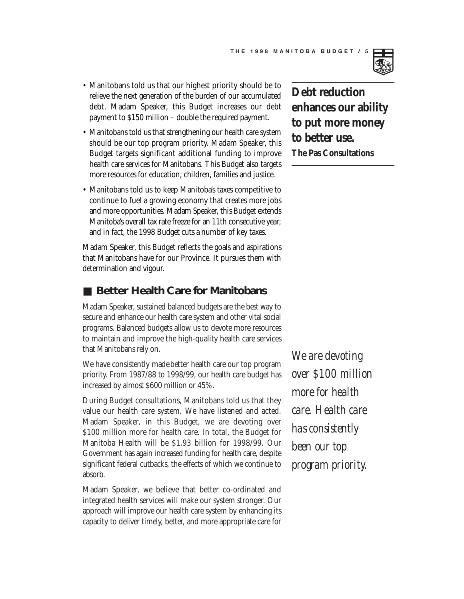- Manitobans told us that our highest priority should be to relieve the next generation of the burden of our accumulated debt. Madam Speaker, this Budget increases our debt payment to \$150 million – double the required payment.
- Manitobans told us that strengthening our health care system should be our top program priority. Madam Speaker, this Budget targets significant additional funding to improve health care services for Manitobans. This Budget also targets more resources for education, children, families and justice.
- Manitobans told us to keep Manitoba's taxes competitive to continue to fuel a growing economy that creates more jobs and more opportunities. Madam Speaker, this Budget extends Manitoba's overall tax rate freeze for an 11th consecutive year; and in fact, the 1998 Budget cuts a number of key taxes.

Madam Speaker, this Budget reflects the goals and aspirations that Manitobans have for our Province. It pursues them with determination and vigour.

#### **Better Health Care for Manitobans**

Madam Speaker, sustained balanced budgets are the best way to secure and enhance our health care system and other vital social programs. Balanced budgets allow us to devote more resources to maintain and improve the high-quality health care services that Manitobans rely on.

We have consistently made better health care our top program priority. From 1987/88 to 1998/99, our health care budget has increased by almost \$600 million or 45%.

During Budget consultations, Manitobans told us that they value our health care system. We have listened and acted. Madam Speaker, in this Budget, we are devoting over \$100 million more for health care. In total, the Budget for Manitoba Health will be \$1.93 billion for 1998/99. Our Government has again increased funding for health care, despite significant federal cutbacks, the effects of which we continue to absorb.

Madam Speaker, we believe that better co-ordinated and integrated health services will make our system stronger. Our approach will improve our health care system by enhancing its capacity to deliver timely, better, and more appropriate care for

**Debt reduction enhances our ability to put more money to better use. The Pas Consultations**

*We are devoting over \$100 million more for health care. Health care has consistently been our top program priority.*

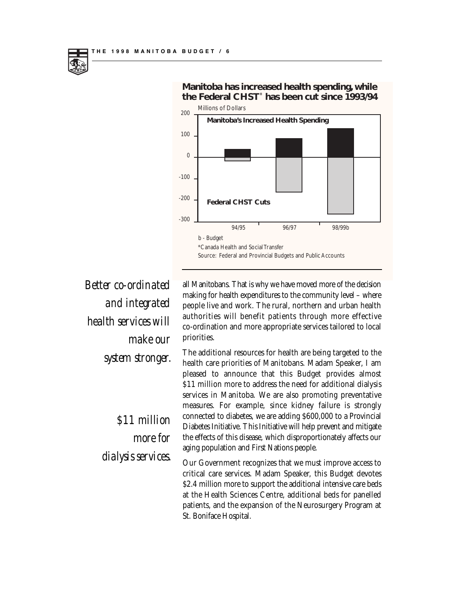

**Manitoba has increased health spending, while the Federal CHST**\* **has been cut since 1993/94**

*Better co-ordinated and integrated health services will make our system stronger.*

> *\$11 million more for dialysis services.*

all Manitobans. That is why we have moved more of the decision making for health expenditures to the community level – where people live and work. The rural, northern and urban health authorities will benefit patients through more effective co-ordination and more appropriate services tailored to local priorities.

The additional resources for health are being targeted to the health care priorities of Manitobans. Madam Speaker, I am pleased to announce that this Budget provides almost \$11 million more to address the need for additional dialysis services in Manitoba. We are also promoting preventative measures. For example, since kidney failure is strongly connected to diabetes, we are adding \$600,000 to a Provincial Diabetes Initiative. This Initiative will help prevent and mitigate the effects of this disease, which disproportionately affects our aging population and First Nations people.

Our Government recognizes that we must improve access to critical care services. Madam Speaker, this Budget devotes \$2.4 million more to support the additional intensive care beds at the Health Sciences Centre, additional beds for panelled patients, and the expansion of the Neurosurgery Program at St. Boniface Hospital.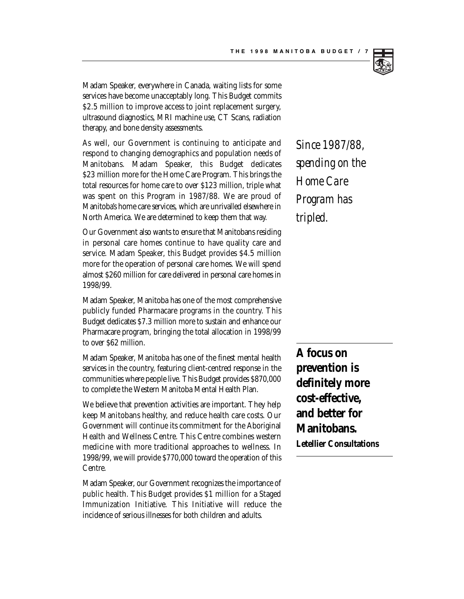

Madam Speaker, everywhere in Canada, waiting lists for some services have become unacceptably long. This Budget commits \$2.5 million to improve access to joint replacement surgery, ultrasound diagnostics, MRI machine use, CT Scans, radiation therapy, and bone density assessments.

As well, our Government is continuing to anticipate and respond to changing demographics and population needs of Manitobans. Madam Speaker, this Budget dedicates \$23 million more for the Home Care Program. This brings the total resources for home care to over \$123 million, triple what was spent on this Program in 1987/88. We are proud of Manitoba's home care services, which are unrivalled elsewhere in North America. We are determined to keep them that way.

Our Government also wants to ensure that Manitobans residing in personal care homes continue to have quality care and service. Madam Speaker, this Budget provides \$4.5 million more for the operation of personal care homes. We will spend almost \$260 million for care delivered in personal care homes in 1998/99.

Madam Speaker, Manitoba has one of the most comprehensive publicly funded Pharmacare programs in the country. This Budget dedicates \$7.3 million more to sustain and enhance our Pharmacare program, bringing the total allocation in 1998/99 to over \$62 million.

Madam Speaker, Manitoba has one of the finest mental health services in the country, featuring client-centred response in the communities where people live. This Budget provides \$870,000 to complete the Western Manitoba Mental Health Plan.

We believe that prevention activities are important. They help keep Manitobans healthy, and reduce health care costs. Our Government will continue its commitment for the Aboriginal Health and Wellness Centre. This Centre combines western medicine with more traditional approaches to wellness. In 1998/99, we will provide \$770,000 toward the operation of this Centre.

Madam Speaker, our Government recognizes the importance of public health. This Budget provides \$1 million for a Staged Immunization Initiative. This Initiative will reduce the incidence of serious illnesses for both children and adults.

*Since 1987/88, spending on the Home Care Program has tripled.*

**A focus on prevention is definitely more cost-effective, and better for Manitobans. Letellier Consultations**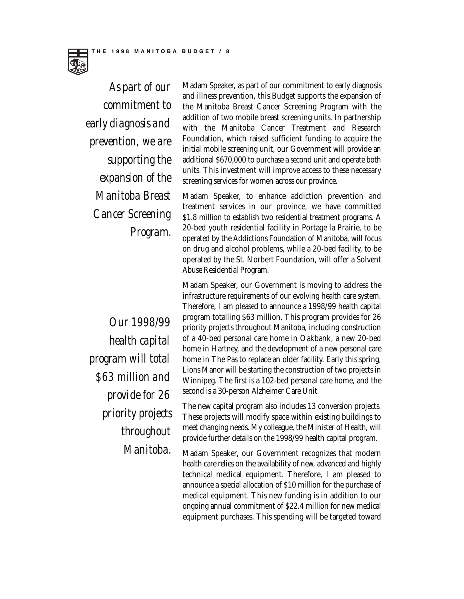

*As part of our commitment to early diagnosis and prevention, we are supporting the expansion of the Manitoba Breast Cancer Screening Program.*

Madam Speaker, as part of our commitment to early diagnosis and illness prevention, this Budget supports the expansion of the Manitoba Breast Cancer Screening Program with the addition of two mobile breast screening units. In partnership with the Manitoba Cancer Treatment and Research Foundation, which raised sufficient funding to acquire the initial mobile screening unit, our Government will provide an additional \$670,000 to purchase a second unit and operate both units. This investment will improve access to these necessary screening services for women across our province.

Madam Speaker, to enhance addiction prevention and treatment services in our province, we have committed \$1.8 million to establish two residential treatment programs. A 20-bed youth residential facility in Portage la Prairie, to be operated by the Addictions Foundation of Manitoba, will focus on drug and alcohol problems, while a 20-bed facility, to be operated by the St. Norbert Foundation, will offer a Solvent Abuse Residential Program.

Madam Speaker, our Government is moving to address the infrastructure requirements of our evolving health care system. Therefore, I am pleased to announce a 1998/99 health capital program totalling \$63 million. This program provides for 26 priority projects throughout Manitoba, including construction of a 40-bed personal care home in Oakbank, a new 20-bed home in Hartney, and the development of a new personal care home in The Pas to replace an older facility. Early this spring, Lions Manor will be starting the construction of two projects in Winnipeg. The first is a 102-bed personal care home, and the second is a 30-person Alzheimer Care Unit.

The new capital program also includes 13 conversion projects. These projects will modify space within existing buildings to meet changing needs. My colleague, the Minister of Health, will provide further details on the 1998/99 health capital program.

Madam Speaker, our Government recognizes that modern health care relies on the availability of new, advanced and highly technical medical equipment. Therefore, I am pleased to announce a special allocation of \$10 million for the purchase of medical equipment. This new funding is in addition to our ongoing annual commitment of \$22.4 million for new medical equipment purchases. This spending will be targeted toward

*Our 1998/99 health capital program will total \$63 million and provide for 26 priority projects throughout Manitoba.*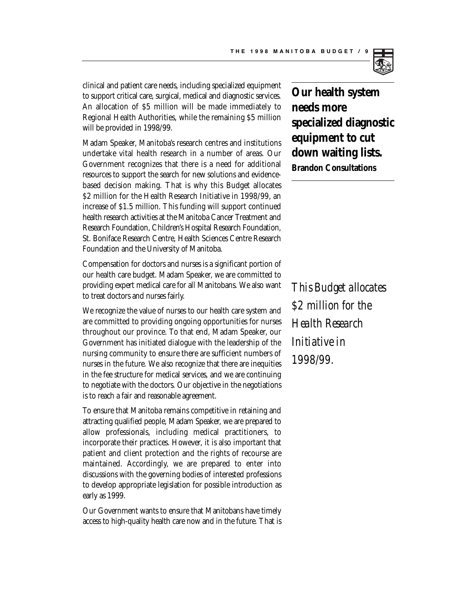

clinical and patient care needs, including specialized equipment to support critical care, surgical, medical and diagnostic services. An allocation of \$5 million will be made immediately to Regional Health Authorities, while the remaining \$5 million will be provided in 1998/99.

Madam Speaker, Manitoba's research centres and institutions undertake vital health research in a number of areas. Our Government recognizes that there is a need for additional resources to support the search for new solutions and evidencebased decision making. That is why this Budget allocates \$2 million for the Health Research Initiative in 1998/99, an increase of \$1.5 million. This funding will support continued health research activities at the Manitoba Cancer Treatment and Research Foundation, Children's Hospital Research Foundation, St. Boniface Research Centre, Health Sciences Centre Research Foundation and the University of Manitoba.

Compensation for doctors and nurses is a significant portion of our health care budget. Madam Speaker, we are committed to providing expert medical care for all Manitobans. We also want to treat doctors and nurses fairly.

We recognize the value of nurses to our health care system and are committed to providing ongoing opportunities for nurses throughout our province. To that end, Madam Speaker, our Government has initiated dialogue with the leadership of the nursing community to ensure there are sufficient numbers of nurses in the future. We also recognize that there are inequities in the fee structure for medical services, and we are continuing to negotiate with the doctors. Our objective in the negotiations is to reach a fair and reasonable agreement.

To ensure that Manitoba remains competitive in retaining and attracting qualified people, Madam Speaker, we are prepared to allow professionals, including medical practitioners, to incorporate their practices. However, it is also important that patient and client protection and the rights of recourse are maintained. Accordingly, we are prepared to enter into discussions with the governing bodies of interested professions to develop appropriate legislation for possible introduction as early as 1999.

Our Government wants to ensure that Manitobans have timely access to high-quality health care now and in the future. That is **Our health system needs more specialized diagnostic equipment to cut down waiting lists. Brandon Consultations**

*This Budget allocates \$2 million for the Health Research Initiative in 1998/99.*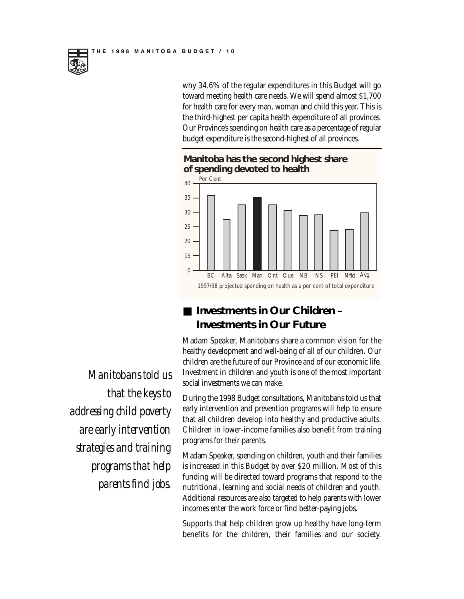why 34.6% of the regular expenditures in this Budget will go toward meeting health care needs. We will spend almost \$1,700 for health care for every man, woman and child this year. This is the third-highest per capita health expenditure of all provinces. Our Province's spending on health care as a percentage of regular budget expenditure is the second-highest of all provinces.





#### ■ **Investments in Our Children** – **Investments in Our Future**

Madam Speaker, Manitobans share a common vision for the healthy development and well-being of all of our children. Our children are the future of our Province and of our economic life. Investment in children and youth is one of the most important social investments we can make.

During the 1998 Budget consultations, Manitobans told us that early intervention and prevention programs will help to ensure that all children develop into healthy and productive adults. Children in lower-income families also benefit from training programs for their parents.

Madam Speaker, spending on children, youth and their families is increased in this Budget by over \$20 million. Most of this funding will be directed toward programs that respond to the nutritional, learning and social needs of children and youth. Additional resources are also targeted to help parents with lower incomes enter the work force or find better-paying jobs.

Supports that help children grow up healthy have long-term benefits for the children, their families and our society.

*Manitobans told us that the keys to addressing child poverty are early intervention strategies and training programs that help parents find jobs.*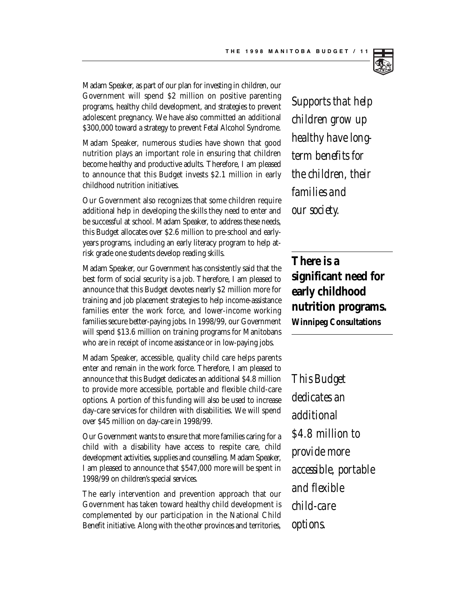

Madam Speaker, as part of our plan for investing in children, our Government will spend \$2 million on positive parenting programs, healthy child development, and strategies to prevent adolescent pregnancy. We have also committed an additional \$300,000 toward a strategy to prevent Fetal Alcohol Syndrome.

Madam Speaker, numerous studies have shown that good nutrition plays an important role in ensuring that children become healthy and productive adults. Therefore, I am pleased to announce that this Budget invests \$2.1 million in early childhood nutrition initiatives.

Our Government also recognizes that some children require additional help in developing the skills they need to enter and be successful at school. Madam Speaker, to address these needs, this Budget allocates over \$2.6 million to pre-school and earlyyears programs, including an early literacy program to help atrisk grade one students develop reading skills.

Madam Speaker, our Government has consistently said that the best form of social security is a job. Therefore, I am pleased to announce that this Budget devotes nearly \$2 million more for training and job placement strategies to help income-assistance families enter the work force, and lower-income working families secure better-paying jobs. In 1998/99, our Government will spend \$13.6 million on training programs for Manitobans who are in receipt of income assistance or in low-paying jobs.

Madam Speaker, accessible, quality child care helps parents enter and remain in the work force. Therefore, I am pleased to announce that this Budget dedicates an additional \$4.8 million to provide more accessible, portable and flexible child-care options. A portion of this funding will also be used to increase day-care services for children with disabilities. We will spend over \$45 million on day-care in 1998/99.

Our Government wants to ensure that more families caring for a child with a disability have access to respite care, child development activities, supplies and counselling. Madam Speaker, I am pleased to announce that \$547,000 more will be spent in 1998/99 on children's special services.

The early intervention and prevention approach that our Government has taken toward healthy child development is complemented by our participation in the National Child Benefit initiative. Along with the other provinces and territories,

*Supports that help children grow up healthy have longterm benefits for the children, their families and our society.*

**There is a significant need for early childhood nutrition programs. Winnipeg Consultations**

*This Budget dedicates an additional \$4.8 million to provide more accessible, portable and flexible child-care options.*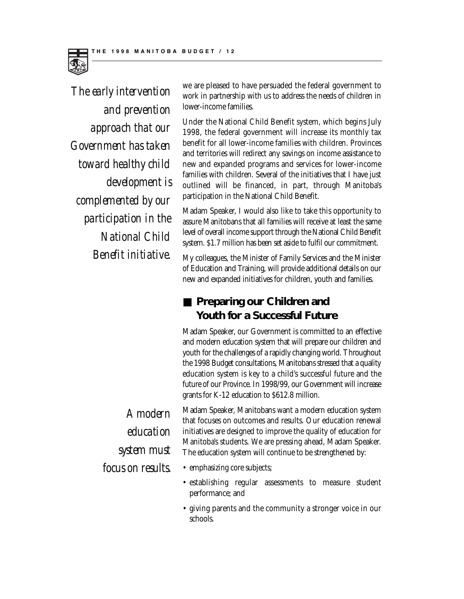

*The early intervention and prevention approach that our Government has taken toward healthy child development is complemented by our participation in the National Child Benefit initiative.*

we are pleased to have persuaded the federal government to work in partnership with us to address the needs of children in lower-income families.

Under the National Child Benefit system, which begins July 1998, the federal government will increase its monthly tax benefit for all lower-income families with children. Provinces and territories will redirect any savings on income assistance to new and expanded programs and services for lower-income families with children. Several of the initiatives that I have just outlined will be financed, in part, through Manitoba's participation in the National Child Benefit.

Madam Speaker, I would also like to take this opportunity to assure Manitobans that all families will receive at least the same level of overall income support through the National Child Benefit system. \$1.7 million has been set aside to fulfil our commitment.

My colleagues, the Minister of Family Services and the Minister of Education and Training, will provide additional details on our new and expanded initiatives for children, youth and families.

#### ■ **Preparing our Children and Youth for a Successful Future**

Madam Speaker, our Government is committed to an effective and modern education system that will prepare our children and youth for the challenges of a rapidly changing world. Throughout the 1998 Budget consultations, Manitobans stressed that a quality education system is key to a child's successful future and the future of our Province. In 1998/99, our Government will increase grants for K-12 education to \$612.8 million.

Madam Speaker, Manitobans want a modern education system that focuses on outcomes and results. Our education renewal initiatives are designed to improve the quality of education for Manitoba's students. We are pressing ahead, Madam Speaker. The education system will continue to be strengthened by:

- emphasizing core subjects;
- establishing regular assessments to measure student performance; and
- giving parents and the community a stronger voice in our schools.

*A modern education system must focus on results.*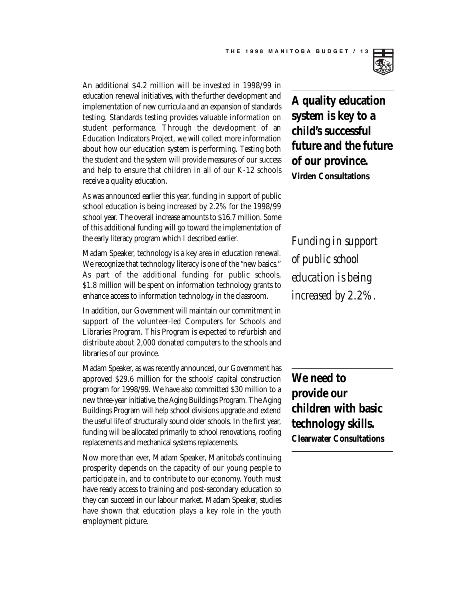

An additional \$4.2 million will be invested in 1998/99 in education renewal initiatives, with the further development and implementation of new curricula and an expansion of standards testing. Standards testing provides valuable information on student performance. Through the development of an Education Indicators Project, we will collect more information about how our education system is performing. Testing both the student and the system will provide measures of our success and help to ensure that children in all of our K-12 schools receive a quality education.

As was announced earlier this year, funding in support of public school education is being increased by 2.2% for the 1998/99 school year. The overall increase amounts to \$16.7 million. Some of this additional funding will go toward the implementation of the early literacy program which I described earlier.

Madam Speaker, technology is a key area in education renewal. We recognize that technology literacy is one of the "new basics." As part of the additional funding for public schools, \$1.8 million will be spent on information technology grants to enhance access to information technology in the classroom.

In addition, our Government will maintain our commitment in support of the volunteer-led Computers for Schools and Libraries Program. This Program is expected to refurbish and distribute about 2,000 donated computers to the schools and libraries of our province.

Madam Speaker, as was recently announced, our Government has approved \$29.6 million for the schools' capital construction program for 1998/99. We have also committed \$30 million to a new three-year initiative, the Aging Buildings Program. The Aging Buildings Program will help school divisions upgrade and extend the useful life of structurally sound older schools. In the first year, funding will be allocated primarily to school renovations, roofing replacements and mechanical systems replacements.

Now more than ever, Madam Speaker, Manitoba's continuing prosperity depends on the capacity of our young people to participate in, and to contribute to our economy. Youth must have ready access to training and post-secondary education so they can succeed in our labour market. Madam Speaker, studies have shown that education plays a key role in the youth employment picture.

**A quality education system is key to a child's successful future and the future of our province. Virden Consultations**

*Funding in support of public school education is being increased by 2.2%.*

**We need to provide our children with basic technology skills. Clearwater Consultations**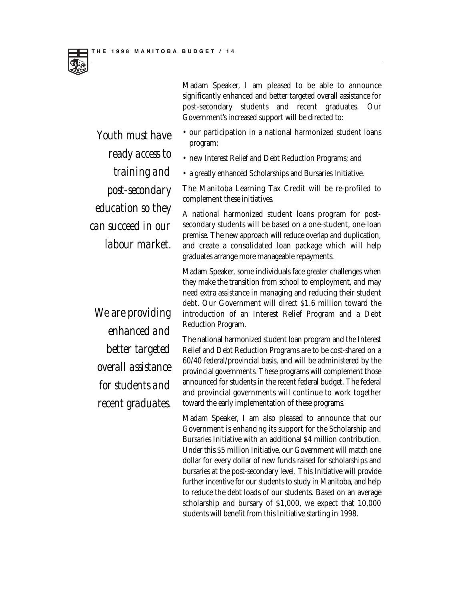Madam Speaker, I am pleased to be able to announce significantly enhanced and better targeted overall assistance for post-secondary students and recent graduates. Our Government's increased support will be directed to:

- our participation in a national harmonized student loans program;
- new Interest Relief and Debt Reduction Programs; and
- a greatly enhanced Scholarships and Bursaries Initiative.

The Manitoba Learning Tax Credit will be re-profiled to complement these initiatives.

A national harmonized student loans program for postsecondary students will be based on a one-student, one-loan premise. The new approach will reduce overlap and duplication, and create a consolidated loan package which will help graduates arrange more manageable repayments.

Madam Speaker, some individuals face greater challenges when they make the transition from school to employment, and may need extra assistance in managing and reducing their student debt. Our Government will direct \$1.6 million toward the introduction of an Interest Relief Program and a Debt Reduction Program.

The national harmonized student loan program and the Interest Relief and Debt Reduction Programs are to be cost-shared on a 60/40 federal/provincial basis, and will be administered by the provincial governments. These programs will complement those announced for students in the recent federal budget. The federal and provincial governments will continue to work together toward the early implementation of these programs.

Madam Speaker, I am also pleased to announce that our Government is enhancing its support for the Scholarship and Bursaries Initiative with an additional \$4 million contribution. Under this \$5 million Initiative, our Government will match one dollar for every dollar of new funds raised for scholarships and bursaries at the post-secondary level. This Initiative will provide further incentive for our students to study in Manitoba, and help to reduce the debt loads of our students. Based on an average scholarship and bursary of \$1,000, we expect that 10,000 students will benefit from this Initiative starting in 1998.

*Youth must have ready access to training and post-secondary education so they can succeed in our labour market.*

*We are providing enhanced and better targeted overall assistance for students and recent graduates.*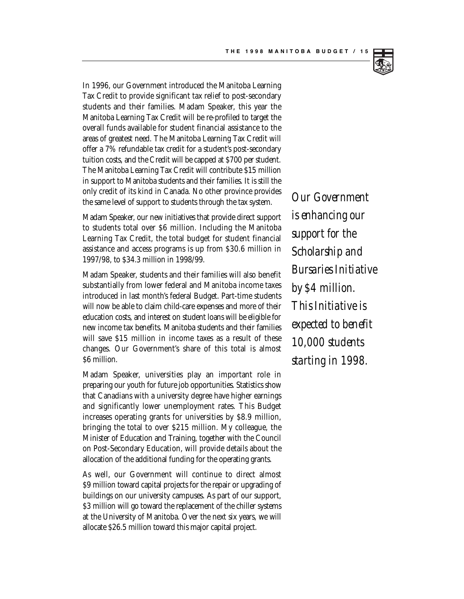

In 1996, our Government introduced the Manitoba Learning Tax Credit to provide significant tax relief to post-secondary students and their families. Madam Speaker, this year the Manitoba Learning Tax Credit will be re-profiled to target the overall funds available for student financial assistance to the areas of greatest need. The Manitoba Learning Tax Credit will offer a 7% refundable tax credit for a student's post-secondary tuition costs, and the Credit will be capped at \$700 per student. The Manitoba Learning Tax Credit will contribute \$15 million in support to Manitoba students and their families. It is still the only credit of its kind in Canada. No other province provides the same level of support to students through the tax system.

Madam Speaker, our new initiatives that provide direct support to students total over \$6 million. Including the Manitoba Learning Tax Credit, the total budget for student financial assistance and access programs is up from \$30.6 million in 1997/98, to \$34.3 million in 1998/99.

Madam Speaker, students and their families will also benefit substantially from lower federal and Manitoba income taxes introduced in last month's federal Budget. Part-time students will now be able to claim child-care expenses and more of their education costs, and interest on student loans will be eligible for new income tax benefits. Manitoba students and their families will save \$15 million in income taxes as a result of these changes. Our Government's share of this total is almost \$6 million.

Madam Speaker, universities play an important role in preparing our youth for future job opportunities. Statistics show that Canadians with a university degree have higher earnings and significantly lower unemployment rates. This Budget increases operating grants for universities by \$8.9 million, bringing the total to over \$215 million. My colleague, the Minister of Education and Training, together with the Council on Post-Secondary Education, will provide details about the allocation of the additional funding for the operating grants.

As well, our Government will continue to direct almost \$9 million toward capital projects for the repair or upgrading of buildings on our university campuses. As part of our support, \$3 million will go toward the replacement of the chiller systems at the University of Manitoba. Over the next six years, we will allocate \$26.5 million toward this major capital project.

*Our Government is enhancing our support for the Scholarship and Bursaries Initiative by \$4 million. This Initiative is expected to benefit 10,000 students starting in 1998.*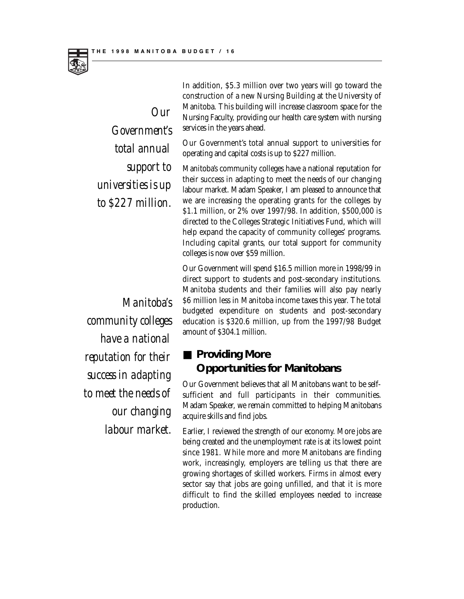

*Our Government's total annual support to universities is up to \$227 million.*

*Manitoba's community colleges have a national reputation for their success in adapting to meet the needs of our changing labour market.*

In addition, \$5.3 million over two years will go toward the construction of a new Nursing Building at the University of Manitoba. This building will increase classroom space for the Nursing Faculty, providing our health care system with nursing services in the years ahead.

Our Government's total annual support to universities for operating and capital costs is up to \$227 million.

Manitoba's community colleges have a national reputation for their success in adapting to meet the needs of our changing labour market. Madam Speaker, I am pleased to announce that we are increasing the operating grants for the colleges by \$1.1 million, or 2% over 1997/98. In addition, \$500,000 is directed to the Colleges Strategic Initiatives Fund, which will help expand the capacity of community colleges' programs. Including capital grants, our total support for community colleges is now over \$59 million.

Our Government will spend \$16.5 million more in 1998/99 in direct support to students and post-secondary institutions. Manitoba students and their families will also pay nearly \$6 million less in Manitoba income taxes this year. The total budgeted expenditure on students and post-secondary education is \$320.6 million, up from the 1997/98 Budget amount of \$304.1 million.

#### ■ **Providing More Opportunities for Manitobans**

Our Government believes that all Manitobans want to be selfsufficient and full participants in their communities. Madam Speaker, we remain committed to helping Manitobans acquire skills and find jobs.

Earlier, I reviewed the strength of our economy. More jobs are being created and the unemployment rate is at its lowest point since 1981. While more and more Manitobans are finding work, increasingly, employers are telling us that there are growing shortages of skilled workers. Firms in almost every sector say that jobs are going unfilled, and that it is more difficult to find the skilled employees needed to increase production.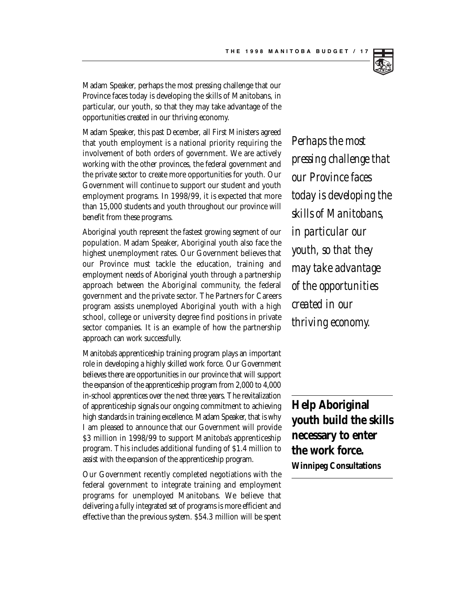

Madam Speaker, perhaps the most pressing challenge that our Province faces today is developing the skills of Manitobans, in particular, our youth, so that they may take advantage of the opportunities created in our thriving economy.

Madam Speaker, this past December, all First Ministers agreed that youth employment is a national priority requiring the involvement of both orders of government. We are actively working with the other provinces, the federal government and the private sector to create more opportunities for youth. Our Government will continue to support our student and youth employment programs. In 1998/99, it is expected that more than 15,000 students and youth throughout our province will benefit from these programs.

Aboriginal youth represent the fastest growing segment of our population. Madam Speaker, Aboriginal youth also face the highest unemployment rates. Our Government believes that our Province must tackle the education, training and employment needs of Aboriginal youth through a partnership approach between the Aboriginal community, the federal government and the private sector. The Partners for Careers program assists unemployed Aboriginal youth with a high school, college or university degree find positions in private sector companies. It is an example of how the partnership approach can work successfully.

Manitoba's apprenticeship training program plays an important role in developing a highly skilled work force. Our Government believes there are opportunities in our province that will support the expansion of the apprenticeship program from 2,000 to 4,000 in-school apprentices over the next three years. The revitalization of apprenticeship signals our ongoing commitment to achieving high standards in training excellence. Madam Speaker, that is why I am pleased to announce that our Government will provide \$3 million in 1998/99 to support Manitoba's apprenticeship program. This includes additional funding of \$1.4 million to assist with the expansion of the apprenticeship program.

Our Government recently completed negotiations with the federal government to integrate training and employment programs for unemployed Manitobans. We believe that delivering a fully integrated set of programs is more efficient and effective than the previous system. \$54.3 million will be spent

*Perhaps the most pressing challenge that our Province faces today is developing the skills of Manitobans, in particular our youth, so that they may take advantage of the opportunities created in our thriving economy.* 

**Help Aboriginal youth build the skills necessary to enter the work force.** 

**Winnipeg Consultations**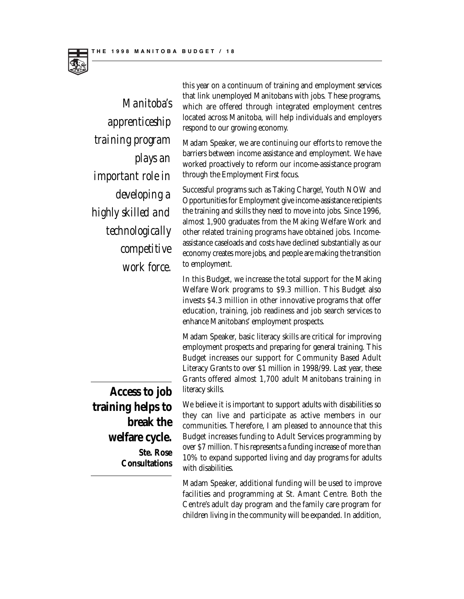

*Manitoba's apprenticeship training program plays an important role in developing a highly skilled and technologically competitive work force.*

this year on a continuum of training and employment services that link unemployed Manitobans with jobs. These programs, which are offered through integrated employment centres located across Manitoba, will help individuals and employers respond to our growing economy.

Madam Speaker, we are continuing our efforts to remove the barriers between income assistance and employment. We have worked proactively to reform our income-assistance program through the Employment First focus.

Successful programs such as Taking Charge!, Youth NOW and Opportunities for Employment give income-assistance recipients the training and skills they need to move into jobs. Since 1996, almost 1,900 graduates from the Making Welfare Work and other related training programs have obtained jobs. Incomeassistance caseloads and costs have declined substantially as our economy creates more jobs, and people are making the transition to employment.

In this Budget, we increase the total support for the Making Welfare Work programs to \$9.3 million. This Budget also invests \$4.3 million in other innovative programs that offer education, training, job readiness and job search services to enhance Manitobans' employment prospects.

Madam Speaker, basic literacy skills are critical for improving employment prospects and preparing for general training. This Budget increases our support for Community Based Adult Literacy Grants to over \$1 million in 1998/99. Last year, these Grants offered almost 1,700 adult Manitobans training in literacy skills.

We believe it is important to support adults with disabilities so they can live and participate as active members in our communities. Therefore, I am pleased to announce that this Budget increases funding to Adult Services programming by over \$7 million. This represents a funding increase of more than 10% to expand supported living and day programs for adults with disabilities.

Madam Speaker, additional funding will be used to improve facilities and programming at St. Amant Centre. Both the Centre's adult day program and the family care program for children living in the community will be expanded. In addition,

**Access to job training helps to break the welfare cycle. Ste. Rose Consultations**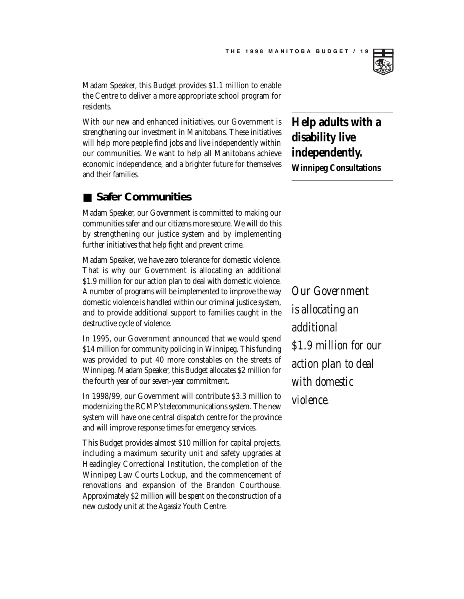

Madam Speaker, this Budget provides \$1.1 million to enable the Centre to deliver a more appropriate school program for residents.

With our new and enhanced initiatives, our Government is strengthening our investment in Manitobans. These initiatives will help more people find jobs and live independently within our communities. We want to help all Manitobans achieve economic independence, and a brighter future for themselves and their families.

#### ■ Safer Communities

Madam Speaker, our Government is committed to making our communities safer and our citizens more secure. We will do this by strengthening our justice system and by implementing further initiatives that help fight and prevent crime.

Madam Speaker, we have zero tolerance for domestic violence. That is why our Government is allocating an additional \$1.9 million for our action plan to deal with domestic violence. A number of programs will be implemented to improve the way domestic violence is handled within our criminal justice system, and to provide additional support to families caught in the destructive cycle of violence.

In 1995, our Government announced that we would spend \$14 million for community policing in Winnipeg. This funding was provided to put 40 more constables on the streets of Winnipeg. Madam Speaker, this Budget allocates \$2 million for the fourth year of our seven-year commitment.

In 1998/99, our Government will contribute \$3.3 million to modernizing the RCMP's telecommunications system. The new system will have one central dispatch centre for the province and will improve response times for emergency services.

This Budget provides almost \$10 million for capital projects, including a maximum security unit and safety upgrades at Headingley Correctional Institution, the completion of the Winnipeg Law Courts Lockup, and the commencement of renovations and expansion of the Brandon Courthouse. Approximately \$2 million will be spent on the construction of a new custody unit at the Agassiz Youth Centre.

### **Help adults with a disability live independently. Winnipeg Consultations**

*Our Government is allocating an additional \$1.9 million for our action plan to deal with domestic violence.*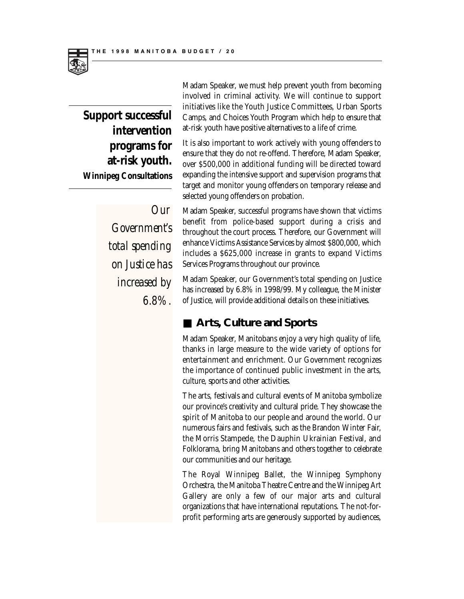

Madam Speaker, we must help prevent youth from becoming involved in criminal activity. We will continue to support initiatives like the Youth Justice Committees, Urban Sports Camps, and Choices Youth Program which help to ensure that at-risk youth have positive alternatives to a life of crime.

It is also important to work actively with young offenders to ensure that they do not re-offend. Therefore, Madam Speaker, over \$500,000 in additional funding will be directed toward expanding the intensive support and supervision programs that target and monitor young offenders on temporary release and selected young offenders on probation.

Madam Speaker, successful programs have shown that victims benefit from police-based support during a crisis and throughout the court process. Therefore, our Government will enhance Victims Assistance Services by almost \$800,000, which includes a \$625,000 increase in grants to expand Victims Services Programs throughout our province.

Madam Speaker, our Government's total spending on Justice has increased by 6.8% in 1998/99. My colleague, the Minister of Justice, will provide additional details on these initiatives.

#### ■ **Arts, Culture and Sports**

Madam Speaker, Manitobans enjoy a very high quality of life, thanks in large measure to the wide variety of options for entertainment and enrichment. Our Government recognizes the importance of continued public investment in the arts, culture, sports and other activities.

The arts, festivals and cultural events of Manitoba symbolize our province's creativity and cultural pride. They showcase the spirit of Manitoba to our people and around the world. Our numerous fairs and festivals, such as the Brandon Winter Fair, the Morris Stampede, the Dauphin Ukrainian Festival, and Folklorama, bring Manitobans and others together to celebrate our communities and our heritage.

The Royal Winnipeg Ballet, the Winnipeg Symphony Orchestra, the Manitoba Theatre Centre and the Winnipeg Art Gallery are only a few of our major arts and cultural organizations that have international reputations. The not-forprofit performing arts are generously supported by audiences,

*Government's total spending on Justice has increased by 6.8%.*

*Our*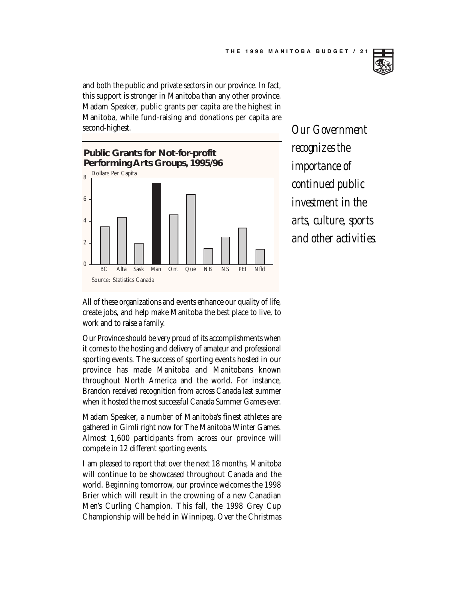and both the public and private sectors in our province. In fact, this support is stronger in Manitoba than any other province. Madam Speaker, public grants per capita are the highest in Manitoba, while fund-raising and donations per capita are second-highest.



*Our Government recognizes the importance of continued public investment in the arts, culture, sports and other activities.*

All of these organizations and events enhance our quality of life, create jobs, and help make Manitoba the best place to live, to work and to raise a family.

Our Province should be very proud of its accomplishments when it comes to the hosting and delivery of amateur and professional sporting events. The success of sporting events hosted in our province has made Manitoba and Manitobans known throughout North America and the world. For instance, Brandon received recognition from across Canada last summer when it hosted the most successful Canada Summer Games ever.

Madam Speaker, a number of Manitoba's finest athletes are gathered in Gimli right now for The Manitoba Winter Games. Almost 1,600 participants from across our province will compete in 12 different sporting events.

I am pleased to report that over the next 18 months, Manitoba will continue to be showcased throughout Canada and the world. Beginning tomorrow, our province welcomes the 1998 Brier which will result in the crowning of a new Canadian Men's Curling Champion. This fall, the 1998 Grey Cup Championship will be held in Winnipeg. Over the Christmas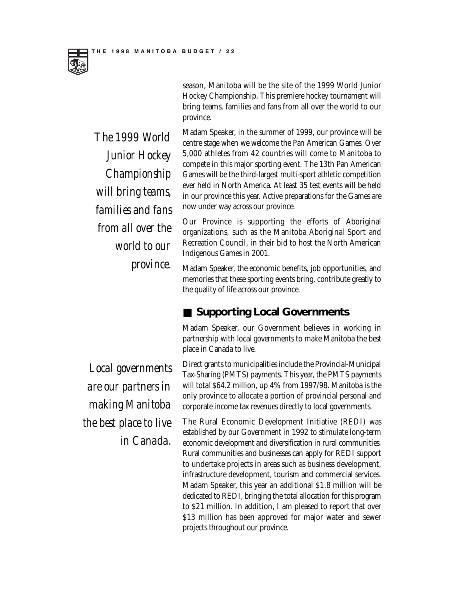

*The 1999 World Junior Hockey Championship will bring teams, families and fans from all over the world to our province.*

Hockey Championship. This premiere hockey tournament will bring teams, families and fans from all over the world to our province. Madam Speaker, in the summer of 1999, our province will be centre stage when we welcome the Pan American Games. Over

season, Manitoba will be the site of the 1999 World Junior

5,000 athletes from 42 countries will come to Manitoba to compete in this major sporting event. The 13th Pan American Games will be the third-largest multi-sport athletic competition ever held in North America. At least 35 test events will be held in our province this year. Active preparations for the Games are now under way across our province.

Our Province is supporting the efforts of Aboriginal organizations, such as the Manitoba Aboriginal Sport and Recreation Council, in their bid to host the North American Indigenous Games in 2001.

Madam Speaker, the economic benefits, job opportunities, and memories that these sporting events bring, contribute greatly to the quality of life across our province.

#### **Supporting Local Governments**

Madam Speaker, our Government believes in working in partnership with local governments to make Manitoba the best place in Canada to live.

Direct grants to municipalities include the Provincial-Municipal Tax-Sharing (PMTS) payments. This year, the PMTS payments will total \$64.2 million, up 4% from 1997/98. Manitoba is the only province to allocate a portion of provincial personal and corporate income tax revenues directly to local governments.

The Rural Economic Development Initiative (REDI) was established by our Government in 1992 to stimulate long-term economic development and diversification in rural communities. Rural communities and businesses can apply for REDI support to undertake projects in areas such as business development, infrastructure development, tourism and commercial services. Madam Speaker, this year an additional \$1.8 million will be dedicated to REDI, bringing the total allocation for this program to \$21 million. In addition, I am pleased to report that over \$13 million has been approved for major water and sewer projects throughout our province.

*Local governments are our partners in making Manitoba the best place to live in Canada.*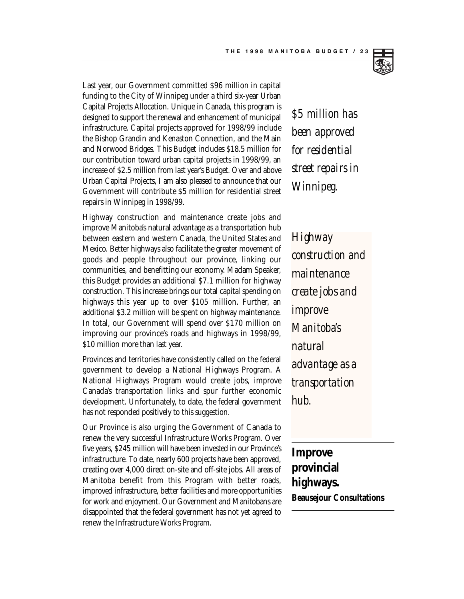

Last year, our Government committed \$96 million in capital funding to the City of Winnipeg under a third six-year Urban Capital Projects Allocation. Unique in Canada, this program is designed to support the renewal and enhancement of municipal infrastructure. Capital projects approved for 1998/99 include the Bishop Grandin and Kenaston Connection, and the Main and Norwood Bridges. This Budget includes \$18.5 million for our contribution toward urban capital projects in 1998/99, an increase of \$2.5 million from last year's Budget. Over and above Urban Capital Projects, I am also pleased to announce that our Government will contribute \$5 million for residential street repairs in Winnipeg in 1998/99.

Highway construction and maintenance create jobs and improve Manitoba's natural advantage as a transportation hub between eastern and western Canada, the United States and Mexico. Better highways also facilitate the greater movement of goods and people throughout our province, linking our communities, and benefitting our economy. Madam Speaker, this Budget provides an additional \$7.1 million for highway construction. This increase brings our total capital spending on highways this year up to over \$105 million. Further, an additional \$3.2 million will be spent on highway maintenance. In total, our Government will spend over \$170 million on improving our province's roads and highways in 1998/99, \$10 million more than last year.

Provinces and territories have consistently called on the federal government to develop a National Highways Program. A National Highways Program would create jobs, improve Canada's transportation links and spur further economic development. Unfortunately, to date, the federal government has not responded positively to this suggestion.

Our Province is also urging the Government of Canada to renew the very successful Infrastructure Works Program. Over five years, \$245 million will have been invested in our Province's infrastructure. To date, nearly 600 projects have been approved, creating over 4,000 direct on-site and off-site jobs. All areas of Manitoba benefit from this Program with better roads, improved infrastructure, better facilities and more opportunities for work and enjoyment. Our Government and Manitobans are disappointed that the federal government has not yet agreed to renew the Infrastructure Works Program.

*\$5 million has been approved for residential street repairs in Winnipeg.*

*Highway construction and maintenance create jobs and improve Manitoba's natural advantage as a transportation hub.* 

**Improve provincial highways. Beausejour Consultations**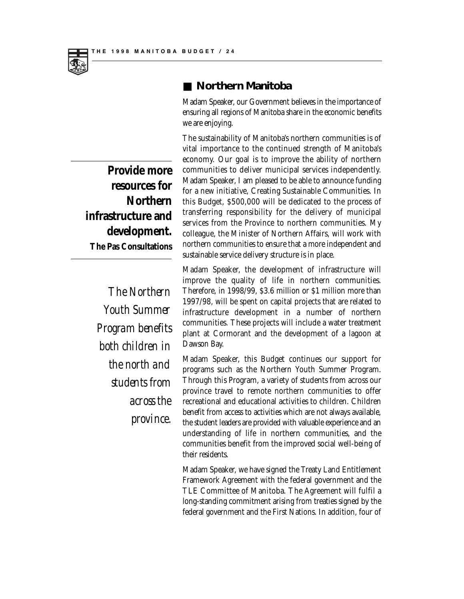

#### ■ **Northern Manitoba**

Madam Speaker, our Government believes in the importance of ensuring all regions of Manitoba share in the economic benefits we are enjoying.

The sustainability of Manitoba's northern communities is of vital importance to the continued strength of Manitoba's economy. Our goal is to improve the ability of northern communities to deliver municipal services independently. Madam Speaker, I am pleased to be able to announce funding for a new initiative, Creating Sustainable Communities. In this Budget, \$500,000 will be dedicated to the process of transferring responsibility for the delivery of municipal services from the Province to northern communities. My colleague, the Minister of Northern Affairs, will work with northern communities to ensure that a more independent and sustainable service delivery structure is in place.

Madam Speaker, the development of infrastructure will improve the quality of life in northern communities. Therefore, in 1998/99, \$3.6 million or \$1 million more than 1997/98, will be spent on capital projects that are related to infrastructure development in a number of northern communities. These projects will include a water treatment plant at Cormorant and the development of a lagoon at Dawson Bay.

Madam Speaker, this Budget continues our support for programs such as the Northern Youth Summer Program. Through this Program, a variety of students from across our province travel to remote northern communities to offer recreational and educational activities to children. Children benefit from access to activities which are not always available, the student leaders are provided with valuable experience and an understanding of life in northern communities, and the communities benefit from the improved social well-being of their residents.

Madam Speaker, we have signed the Treaty Land Entitlement Framework Agreement with the federal government and the TLE Committee of Manitoba. The Agreement will fulfil a long-standing commitment arising from treaties signed by the federal government and the First Nations. In addition, four of

**Provide more resources for Northern infrastructure and development. The Pas Consultations**

> *The Northern Youth Summer Program benefits both children in the north and students from across the province.*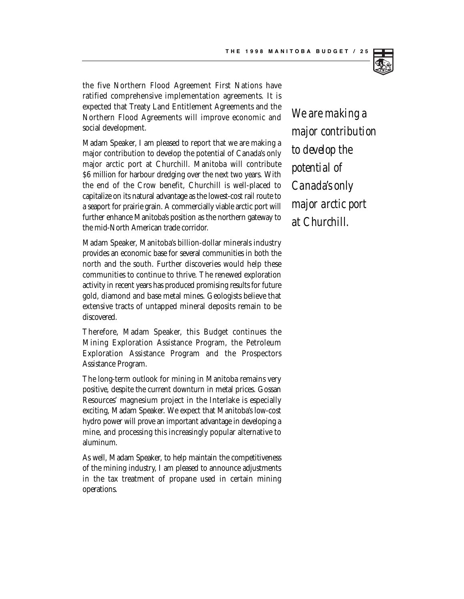

the five Northern Flood Agreement First Nations have ratified comprehensive implementation agreements. It is expected that Treaty Land Entitlement Agreements and the Northern Flood Agreements will improve economic and social development.

Madam Speaker, I am pleased to report that we are making a major contribution to develop the potential of Canada's only major arctic port at Churchill. Manitoba will contribute \$6 million for harbour dredging over the next two years. With the end of the Crow benefit, Churchill is well-placed to capitalize on its natural advantage as the lowest-cost rail route to a seaport for prairie grain. A commercially viable arctic port will further enhance Manitoba's position as the northern gateway to the mid-North American trade corridor.

Madam Speaker, Manitoba's billion-dollar minerals industry provides an economic base for several communities in both the north and the south. Further discoveries would help these communities to continue to thrive. The renewed exploration activity in recent years has produced promising results for future gold, diamond and base metal mines. Geologists believe that extensive tracts of untapped mineral deposits remain to be discovered.

Therefore, Madam Speaker, this Budget continues the Mining Exploration Assistance Program, the Petroleum Exploration Assistance Program and the Prospectors Assistance Program.

The long-term outlook for mining in Manitoba remains very positive, despite the current downturn in metal prices. Gossan Resources' magnesium project in the Interlake is especially exciting, Madam Speaker. We expect that Manitoba's low-cost hydro power will prove an important advantage in developing a mine, and processing this increasingly popular alternative to aluminum.

As well, Madam Speaker, to help maintain the competitiveness of the mining industry, I am pleased to announce adjustments in the tax treatment of propane used in certain mining operations.

*We are making a major contribution to develop the potential of Canada's only major arctic port at Churchill.*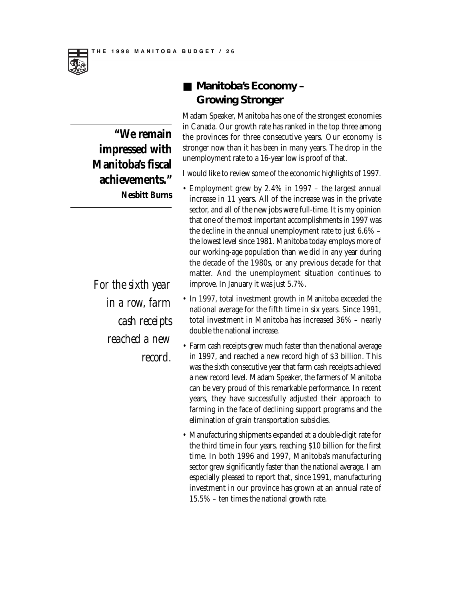

**"We remain impressed with Manitoba's fiscal achievements." Nesbitt Burns**

*For the sixth year in a row, farm cash receipts reached a new record.*

### ■ **Manitoba's Economy – Growing Stronger**

Madam Speaker, Manitoba has one of the strongest economies in Canada. Our growth rate has ranked in the top three among the provinces for three consecutive years. Our economy is stronger now than it has been in many years. The drop in the unemployment rate to a 16-year low is proof of that.

I would like to review some of the economic highlights of 1997.

- Employment grew by 2.4% in 1997 the largest annual increase in 11 years. All of the increase was in the private sector, and all of the new jobs were full-time. It is my opinion that one of the most important accomplishments in 1997 was the decline in the annual unemployment rate to just 6.6% – the lowest level since 1981. Manitoba today employs more of our working-age population than we did in any year during the decade of the 1980s, or any previous decade for that matter. And the unemployment situation continues to improve. In January it was just 5.7%.
- In 1997, total investment growth in Manitoba exceeded the national average for the fifth time in six years. Since 1991, total investment in Manitoba has increased 36% – nearly double the national increase.
- Farm cash receipts grew much faster than the national average in 1997, and reached a new record high of \$3 billion. This was the sixth consecutive year that farm cash receipts achieved a new record level. Madam Speaker, the farmers of Manitoba can be very proud of this remarkable performance. In recent years, they have successfully adjusted their approach to farming in the face of declining support programs and the elimination of grain transportation subsidies.
- Manufacturing shipments expanded at a double-digit rate for the third time in four years, reaching \$10 billion for the first time. In both 1996 and 1997, Manitoba's manufacturing sector grew significantly faster than the national average. I am especially pleased to report that, since 1991, manufacturing investment in our province has grown at an annual rate of 15.5% – ten times the national growth rate.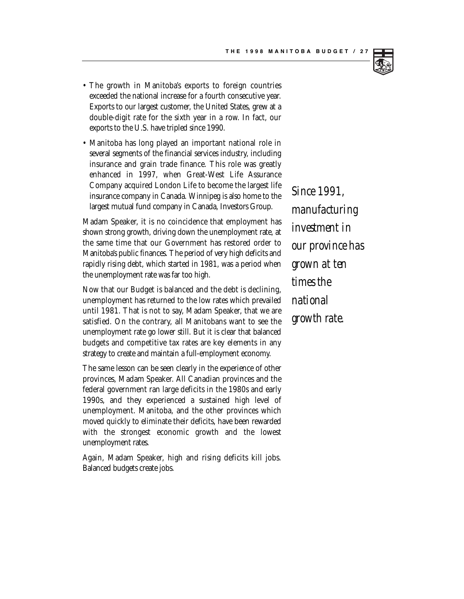

- The growth in Manitoba's exports to foreign countries exceeded the national increase for a fourth consecutive year. Exports to our largest customer, the United States, grew at a double-digit rate for the sixth year in a row. In fact, our exports to the U.S. have tripled since 1990.
- Manitoba has long played an important national role in several segments of the financial services industry, including insurance and grain trade finance. This role was greatly enhanced in 1997, when Great-West Life Assurance Company acquired London Life to become the largest life insurance company in Canada. Winnipeg is also home to the largest mutual fund company in Canada, Investors Group.

Madam Speaker, it is no coincidence that employment has shown strong growth, driving down the unemployment rate, at the same time that our Government has restored order to Manitoba's public finances. The period of very high deficits and rapidly rising debt, which started in 1981, was a period when the unemployment rate was far too high.

Now that our Budget is balanced and the debt is declining, unemployment has returned to the low rates which prevailed until 1981. That is not to say, Madam Speaker, that we are satisfied. On the contrary, all Manitobans want to see the unemployment rate go lower still. But it is clear that balanced budgets and competitive tax rates are key elements in any strategy to create and maintain a full-employment economy.

The same lesson can be seen clearly in the experience of other provinces, Madam Speaker. All Canadian provinces and the federal government ran large deficits in the 1980s and early 1990s, and they experienced a sustained high level of unemployment. Manitoba, and the other provinces which moved quickly to eliminate their deficits, have been rewarded with the strongest economic growth and the lowest unemployment rates.

Again, Madam Speaker, high and rising deficits kill jobs. Balanced budgets create jobs.

*Since 1991, manufacturing investment in our province has grown at ten times the national growth rate.*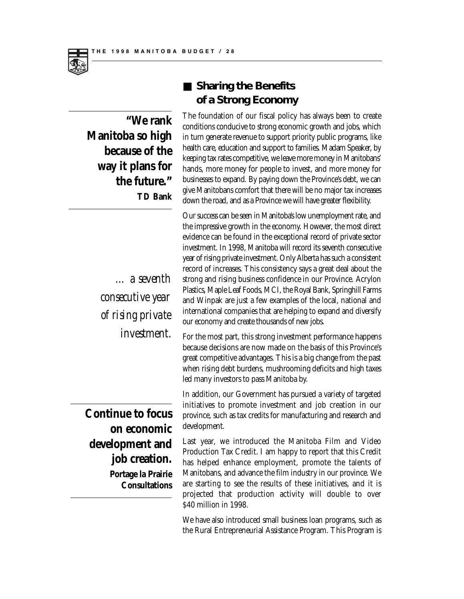

**"We rank Manitoba so high because of the way it plans for the future." TD Bank**

> *… a seventh consecutive year of rising private investment.*

### ■ **Sharing the Benefits of a Strong Economy**

The foundation of our fiscal policy has always been to create conditions conducive to strong economic growth and jobs, which in turn generate revenue to support priority public programs, like health care, education and support to families. Madam Speaker, by keeping tax rates competitive, we leave more money in Manitobans' hands, more money for people to invest, and more money for businesses to expand. By paying down the Province's debt, we can give Manitobans comfort that there will be no major tax increases down the road, and as a Province we will have greater flexibility.

Our success can be seen in Manitoba's low unemployment rate, and the impressive growth in the economy. However, the most direct evidence can be found in the exceptional record of private sector investment. In 1998, Manitoba will record its seventh consecutive year of rising private investment. Only Alberta has such a consistent record of increases. This consistency says a great deal about the strong and rising business confidence in our Province. Acrylon Plastics, Maple Leaf Foods, MCI, the Royal Bank, Springhill Farms and Winpak are just a few examples of the local, national and international companies that are helping to expand and diversify our economy and create thousands of new jobs.

For the most part, this strong investment performance happens because decisions are now made on the basis of this Province's great competitive advantages. This is a big change from the past when rising debt burdens, mushrooming deficits and high taxes led many investors to pass Manitoba by.

In addition, our Government has pursued a variety of targeted initiatives to promote investment and job creation in our province, such as tax credits for manufacturing and research and development.

**Continue to focus on economic development and job creation. Portage la Prairie Consultations**

Last year, we introduced the Manitoba Film and Video Production Tax Credit. I am happy to report that this Credit has helped enhance employment, promote the talents of Manitobans, and advance the film industry in our province. We are starting to see the results of these initiatives, and it is projected that production activity will double to over \$40 million in 1998.

We have also introduced small business loan programs, such as the Rural Entrepreneurial Assistance Program. This Program is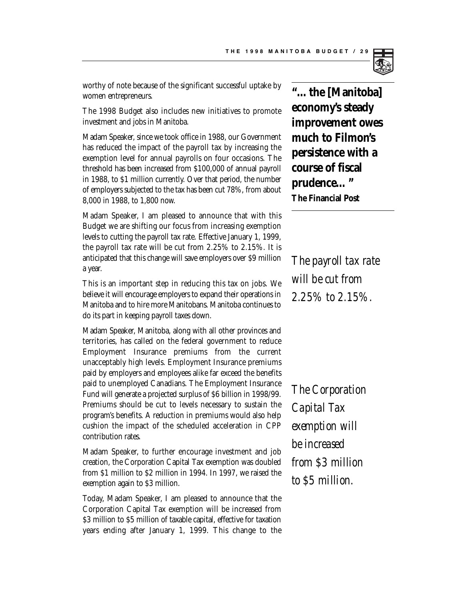worthy of note because of the significant successful uptake by women entrepreneurs.

The 1998 Budget also includes new initiatives to promote investment and jobs in Manitoba.

Madam Speaker, since we took office in 1988, our Government has reduced the impact of the payroll tax by increasing the exemption level for annual payrolls on four occasions. The threshold has been increased from \$100,000 of annual payroll in 1988, to \$1 million currently. Over that period, the number of employers subjected to the tax has been cut 78%, from about 8,000 in 1988, to 1,800 now.

Madam Speaker, I am pleased to announce that with this Budget we are shifting our focus from increasing exemption levels to cutting the payroll tax rate. Effective January 1, 1999, the payroll tax rate will be cut from 2.25% to 2.15%. It is anticipated that this change will save employers over \$9 million a year.

This is an important step in reducing this tax on jobs. We believe it will encourage employers to expand their operations in Manitoba and to hire more Manitobans. Manitoba continues to do its part in keeping payroll taxes down.

Madam Speaker, Manitoba, along with all other provinces and territories, has called on the federal government to reduce Employment Insurance premiums from the current unacceptably high levels. Employment Insurance premiums paid by employers and employees alike far exceed the benefits paid to unemployed Canadians. The Employment Insurance Fund will generate a projected surplus of \$6 billion in 1998/99. Premiums should be cut to levels necessary to sustain the program's benefits. A reduction in premiums would also help cushion the impact of the scheduled acceleration in CPP contribution rates.

Madam Speaker, to further encourage investment and job creation, the Corporation Capital Tax exemption was doubled from \$1 million to \$2 million in 1994. In 1997, we raised the exemption again to \$3 million.

Today, Madam Speaker, I am pleased to announce that the Corporation Capital Tax exemption will be increased from \$3 million to \$5 million of taxable capital, effective for taxation years ending after January 1, 1999. This change to the

**"…the [Manitoba] economy's steady improvement owes much to Filmon's persistence with a course of fiscal prudence…" The Financial Post**

*The payroll tax rate will be cut from 2.25% to 2.15%.*

*The Corporation Capital Tax exemption will be increased from \$3 million to \$5 million.*

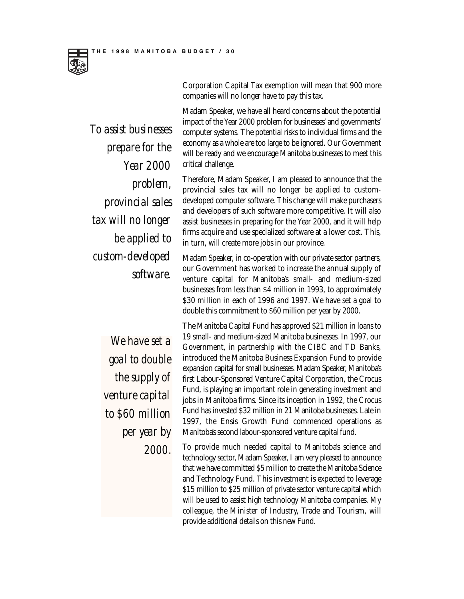

*To assist businesses prepare for the Year 2000 problem, provincial sales tax will no longer be applied to custom-developed software.*

Corporation Capital Tax exemption will mean that 900 more companies will no longer have to pay this tax.

Madam Speaker, we have all heard concerns about the potential impact of the Year 2000 problem for businesses' and governments' computer systems. The potential risks to individual firms and the economy as a whole are too large to be ignored. Our Government will be ready and we encourage Manitoba businesses to meet this critical challenge.

Therefore, Madam Speaker, I am pleased to announce that the provincial sales tax will no longer be applied to customdeveloped computer software. This change will make purchasers and developers of such software more competitive. It will also assist businesses in preparing for the Year 2000, and it will help firms acquire and use specialized software at a lower cost. This, in turn, will create more jobs in our province.

Madam Speaker, in co-operation with our private sector partners, our Government has worked to increase the annual supply of venture capital for Manitoba's small- and medium-sized businesses from less than \$4 million in 1993, to approximately \$30 million in each of 1996 and 1997. We have set a goal to double this commitment to \$60 million per year by 2000.

*We have set a goal to double the supply of venture capital to \$60 million per year by 2000.*

The Manitoba Capital Fund has approved \$21 million in loans to 19 small- and medium-sized Manitoba businesses. In 1997, our Government, in partnership with the CIBC and TD Banks, introduced the Manitoba Business Expansion Fund to provide expansion capital for small businesses. Madam Speaker, Manitoba's first Labour-Sponsored Venture Capital Corporation, the Crocus Fund, is playing an important role in generating investment and jobs in Manitoba firms. Since its inception in 1992, the Crocus Fund has invested \$32 million in 21 Manitoba businesses. Late in 1997, the Ensis Growth Fund commenced operations as Manitoba's second labour-sponsored venture capital fund.

To provide much needed capital to Manitoba's science and technology sector, Madam Speaker, I am very pleased to announce that we have committed \$5 million to create the Manitoba Science and Technology Fund. This investment is expected to leverage \$15 million to \$25 million of private sector venture capital which will be used to assist high technology Manitoba companies. My colleague, the Minister of Industry, Trade and Tourism, will provide additional details on this new Fund.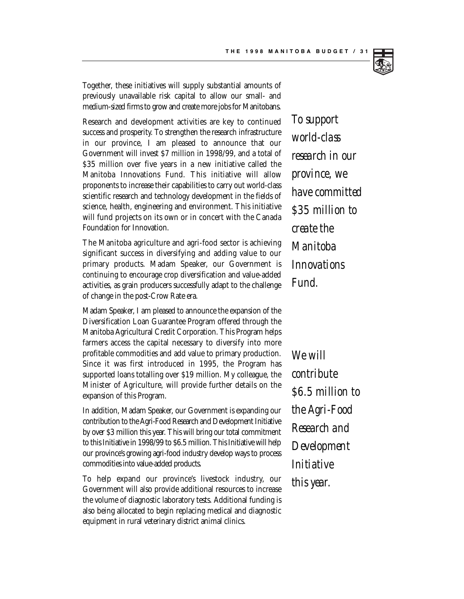

Together, these initiatives will supply substantial amounts of previously unavailable risk capital to allow our small- and medium-sized firms to grow and create more jobs for Manitobans.

Research and development activities are key to continued success and prosperity. To strengthen the research infrastructure in our province, I am pleased to announce that our Government will invest \$7 million in 1998/99, and a total of \$35 million over five years in a new initiative called the Manitoba Innovations Fund. This initiative will allow proponents to increase their capabilities to carry out world-class scientific research and technology development in the fields of science, health, engineering and environment. This initiative will fund projects on its own or in concert with the Canada Foundation for Innovation.

The Manitoba agriculture and agri-food sector is achieving significant success in diversifying and adding value to our primary products. Madam Speaker, our Government is continuing to encourage crop diversification and value-added activities, as grain producers successfully adapt to the challenge of change in the post-Crow Rate era.

Madam Speaker, I am pleased to announce the expansion of the Diversification Loan Guarantee Program offered through the Manitoba Agricultural Credit Corporation. This Program helps farmers access the capital necessary to diversify into more profitable commodities and add value to primary production. Since it was first introduced in 1995, the Program has supported loans totalling over \$19 million. My colleague, the Minister of Agriculture, will provide further details on the expansion of this Program.

In addition, Madam Speaker, our Government is expanding our contribution to the Agri-Food Research and Development Initiative by over \$3 million this year. This will bring our total commitment to this Initiative in 1998/99 to \$6.5 million. This Initiative will help our province's growing agri-food industry develop ways to process commodities into value-added products.

To help expand our province's livestock industry, our Government will also provide additional resources to increase the volume of diagnostic laboratory tests. Additional funding is also being allocated to begin replacing medical and diagnostic equipment in rural veterinary district animal clinics.

*To support world-class research in our province, we have committed \$35 million to create the Manitoba Innovations Fund.*

*We will contribute \$6.5 million to the Agri-Food Research and Development Initiative this year.*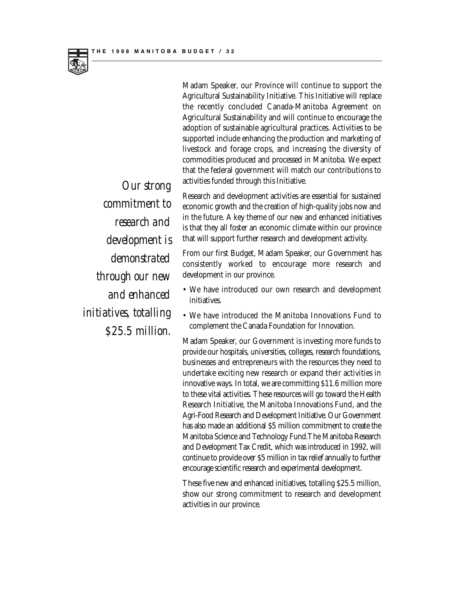

Madam Speaker, our Province will continue to support the Agricultural Sustainability Initiative. This Initiative will replace the recently concluded Canada-Manitoba Agreement on Agricultural Sustainability and will continue to encourage the adoption of sustainable agricultural practices. Activities to be supported include enhancing the production and marketing of livestock and forage crops, and increasing the diversity of commodities produced and processed in Manitoba. We expect that the federal government will match our contributions to activities funded through this Initiative.

Research and development activities are essential for sustained economic growth and the creation of high-quality jobs now and in the future. A key theme of our new and enhanced initiatives is that they all foster an economic climate within our province that will support further research and development activity.

From our first Budget, Madam Speaker, our Government has consistently worked to encourage more research and development in our province.

- We have introduced our own research and development initiatives.
- We have introduced the Manitoba Innovations Fund to complement the Canada Foundation for Innovation.

Madam Speaker, our Government is investing more funds to provide our hospitals, universities, colleges, research foundations, businesses and entrepreneurs with the resources they need to undertake exciting new research or expand their activities in innovative ways. In total, we are committing \$11.6 million more to these vital activities. These resources will go toward the Health Research Initiative, the Manitoba Innovations Fund, and the Agri-Food Research and Development Initiative. Our Government has also made an additional \$5 million commitment to create the Manitoba Science and Technology Fund.The Manitoba Research and Development Tax Credit, which was introduced in 1992, will continue to provide over \$5 million in tax relief annually to further encourage scientific research and experimental development.

These five new and enhanced initiatives, totalling \$25.5 million, show our strong commitment to research and development activities in our province.

*Our strong commitment to research and development is demonstrated through our new and enhanced initiatives, totalling \$25.5 million.*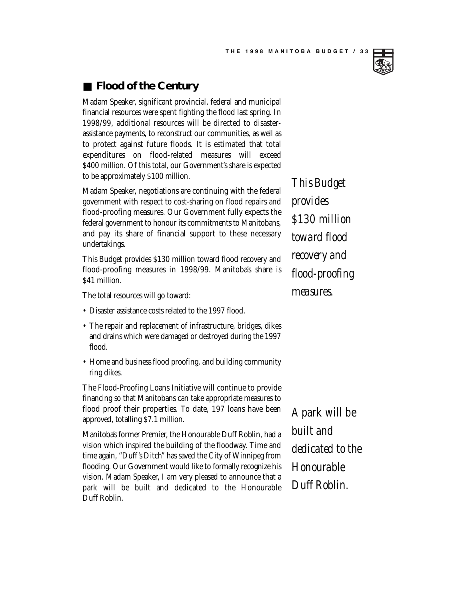#### ■ **Flood of the Century**

Madam Speaker, significant provincial, federal and municipal financial resources were spent fighting the flood last spring. In 1998/99, additional resources will be directed to disasterassistance payments, to reconstruct our communities, as well as to protect against future floods. It is estimated that total expenditures on flood-related measures will exceed \$400 million. Of this total, our Government's share is expected to be approximately \$100 million.

Madam Speaker, negotiations are continuing with the federal government with respect to cost-sharing on flood repairs and flood-proofing measures. Our Government fully expects the federal government to honour its commitments to Manitobans, and pay its share of financial support to these necessary undertakings.

This Budget provides \$130 million toward flood recovery and flood-proofing measures in 1998/99. Manitoba's share is \$41 million.

The total resources will go toward:

- Disaster assistance costs related to the 1997 flood.
- The repair and replacement of infrastructure, bridges, dikes and drains which were damaged or destroyed during the 1997 flood.
- Home and business flood proofing, and building community ring dikes.

The Flood-Proofing Loans Initiative will continue to provide financing so that Manitobans can take appropriate measures to flood proof their properties. To date, 197 loans have been approved, totalling \$7.1 million.

Manitoba's former Premier, the Honourable Duff Roblin, had a vision which inspired the building of the floodway. Time and time again, "Duff's Ditch" has saved the City of Winnipeg from flooding. Our Government would like to formally recognize his vision. Madam Speaker, I am very pleased to announce that a park will be built and dedicated to the Honourable Duff Roblin.

*This Budget provides \$130 million toward flood recovery and flood-proofing measures.*

*A park will be built and dedicated to the Honourable Duff Roblin.*

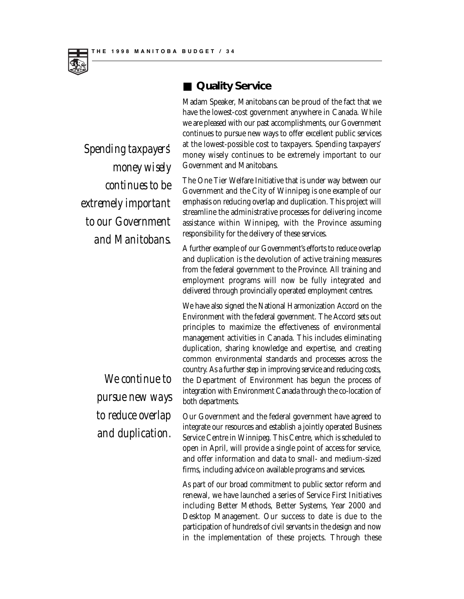

*Spending taxpayers' money wisely continues to be extremely important to our Government and Manitobans.*

> *We continue to pursue new ways to reduce overlap and duplication.*

#### ■ **Quality Service**

Madam Speaker, Manitobans can be proud of the fact that we have the lowest-cost government anywhere in Canada. While we are pleased with our past accomplishments, our Government continues to pursue new ways to offer excellent public services at the lowest-possible cost to taxpayers. Spending taxpayers' money wisely continues to be extremely important to our Government and Manitobans.

The One Tier Welfare Initiative that is under way between our Government and the City of Winnipeg is one example of our emphasis on reducing overlap and duplication. This project will streamline the administrative processes for delivering income assistance within Winnipeg, with the Province assuming responsibility for the delivery of these services.

A further example of our Government's efforts to reduce overlap and duplication is the devolution of active training measures from the federal government to the Province. All training and employment programs will now be fully integrated and delivered through provincially operated employment centres.

We have also signed the National Harmonization Accord on the Environment with the federal government. The Accord sets out principles to maximize the effectiveness of environmental management activities in Canada. This includes eliminating duplication, sharing knowledge and expertise, and creating common environmental standards and processes across the country. As a further step in improving service and reducing costs, the Department of Environment has begun the process of integration with Environment Canada through the co-location of both departments.

Our Government and the federal government have agreed to integrate our resources and establish a jointly operated Business Service Centre in Winnipeg. This Centre, which is scheduled to open in April, will provide a single point of access for service, and offer information and data to small- and medium-sized firms, including advice on available programs and services.

As part of our broad commitment to public sector reform and renewal, we have launched a series of Service First Initiatives including Better Methods, Better Systems, Year 2000 and Desktop Management. Our success to date is due to the participation of hundreds of civil servants in the design and now in the implementation of these projects. Through these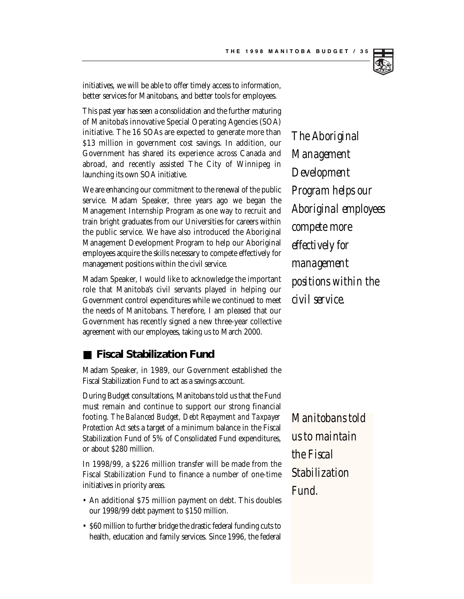

initiatives, we will be able to offer timely access to information, better services for Manitobans, and better tools for employees.

This past year has seen a consolidation and the further maturing of Manitoba's innovative Special Operating Agencies (SOA) initiative. The 16 SOAs are expected to generate more than \$13 million in government cost savings. In addition, our Government has shared its experience across Canada and abroad, and recently assisted The City of Winnipeg in launching its own SOA initiative.

We are enhancing our commitment to the renewal of the public service. Madam Speaker, three years ago we began the Management Internship Program as one way to recruit and train bright graduates from our Universities for careers within the public service. We have also introduced the Aboriginal Management Development Program to help our Aboriginal employees acquire the skills necessary to compete effectively for management positions within the civil service.

Madam Speaker, I would like to acknowledge the important role that Manitoba's civil servants played in helping our Government control expenditures while we continued to meet the needs of Manitobans. Therefore, I am pleased that our Government has recently signed a new three-year collective agreement with our employees, taking us to March 2000.

#### ■ **Fiscal Stabilization Fund**

Madam Speaker, in 1989, our Government established the Fiscal Stabilization Fund to act as a savings account.

During Budget consultations, Manitobans told us that the Fund must remain and continue to support our strong financial footing. *The Balanced Budget, Debt Repayment and Taxpayer Protection Act* sets a target of a minimum balance in the Fiscal Stabilization Fund of 5% of Consolidated Fund expenditures, or about \$280 million.

In 1998/99, a \$226 million transfer will be made from the Fiscal Stabilization Fund to finance a number of one-time initiatives in priority areas.

- An additional \$75 million payment on debt. This doubles our 1998/99 debt payment to \$150 million.
- \$60 million to further bridge the drastic federal funding cuts to health, education and family services. Since 1996, the federal

*The Aboriginal Management Development Program helps our Aboriginal employees compete more effectively for management positions within the civil service.*

*Manitobans told us to maintain the Fiscal Stabilization Fund.*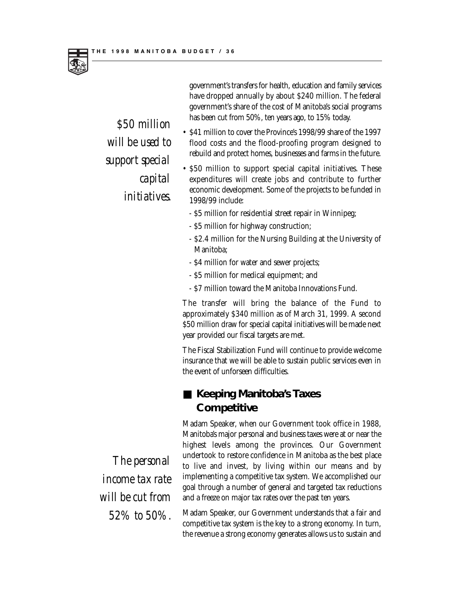

government's transfers for health, education and family services have dropped annually by about \$240 million. The federal government's share of the cost of Manitoba's social programs has been cut from 50%, ten years ago, to 15% today.

- \$41 million to cover the Province's 1998/99 share of the 1997 flood costs and the flood-proofing program designed to rebuild and protect homes, businesses and farms in the future.
- \$50 million to support special capital initiatives. These expenditures will create jobs and contribute to further economic development. Some of the projects to be funded in 1998/99 include:
	- \$5 million for residential street repair in Winnipeg;
	- \$5 million for highway construction;
	- \$2.4 million for the Nursing Building at the University of Manitoba;
	- \$4 million for water and sewer projects;
	- \$5 million for medical equipment; and
	- \$7 million toward the Manitoba Innovations Fund.

The transfer will bring the balance of the Fund to approximately \$340 million as of March 31, 1999. A second \$50 million draw for special capital initiatives will be made next year provided our fiscal targets are met.

The Fiscal Stabilization Fund will continue to provide welcome insurance that we will be able to sustain public services even in the event of unforseen difficulties.

#### ■ Keeping Manitoba's Taxes **Competitive**

Madam Speaker, when our Government took office in 1988, Manitoba's major personal and business taxes were at or near the highest levels among the provinces. Our Government undertook to restore confidence in Manitoba as the best place to live and invest, by living within our means and by implementing a competitive tax system. We accomplished our goal through a number of general and targeted tax reductions and a freeze on major tax rates over the past ten years.

Madam Speaker, our Government understands that a fair and competitive tax system is the key to a strong economy. In turn, the revenue a strong economy generates allows us to sustain and

*The personal income tax rate will be cut from 52% to 50%.*

*\$50 million will be used to support special capital initiatives.*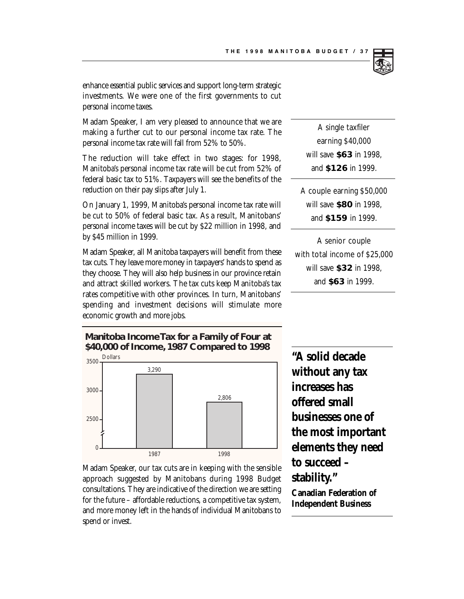enhance essential public services and support long-term strategic investments. We were one of the first governments to cut personal income taxes.

Madam Speaker, I am very pleased to announce that we are making a further cut to our personal income tax rate. The personal income tax rate will fall from 52% to 50%.

The reduction will take effect in two stages: for 1998, Manitoba's personal income tax rate will be cut from 52% of federal basic tax to 51%. Taxpayers will see the benefits of the reduction on their pay slips after July 1.

On January 1, 1999, Manitoba's personal income tax rate will be cut to 50% of federal basic tax. As a result, Manitobans' personal income taxes will be cut by \$22 million in 1998, and by \$45 million in 1999.

Madam Speaker, all Manitoba taxpayers will benefit from these tax cuts. They leave more money in taxpayers' hands to spend as they choose. They will also help business in our province retain and attract skilled workers. The tax cuts keep Manitoba's tax rates competitive with other provinces. In turn, Manitobans' spending and investment decisions will stimulate more economic growth and more jobs.

A single taxfiler earning \$40,000 will save **\$63** in 1998, and **\$126** in 1999.

A couple earning \$50,000 will save **\$80** in 1998, and **\$159** in 1999.

A senior couple with total income of \$25,000 will save **\$32** in 1998, and **\$63** in 1999.

**Manitoba Income Tax for a Family of Four at \$40,000 of Income, 1987 Compared to 1998**



Madam Speaker, our tax cuts are in keeping with the sensible approach suggested by Manitobans during 1998 Budget consultations. They are indicative of the direction we are setting for the future – affordable reductions, a competitive tax system, and more money left in the hands of individual Manitobans to spend or invest.

**"A solid decade without any tax increases has offered small businesses one of the most important elements they need to succeed – stability."**

**Canadian Federation of Independent Business**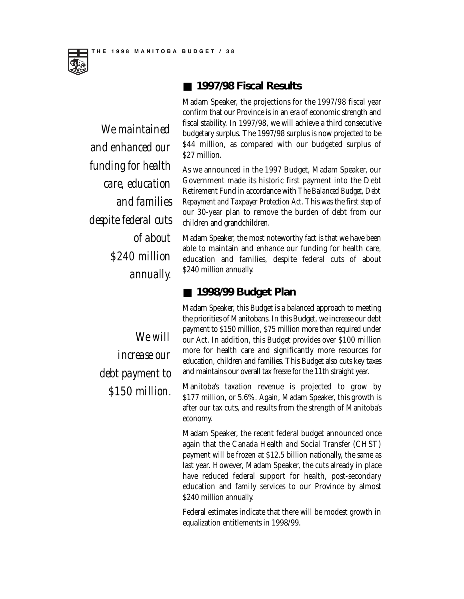

■ **1997/98 Fiscal Results**

Madam Speaker, the projections for the 1997/98 fiscal year confirm that our Province is in an era of economic strength and fiscal stability. In 1997/98, we will achieve a third consecutive budgetary surplus. The 1997/98 surplus is now projected to be \$44 million, as compared with our budgeted surplus of \$27 million.

As we announced in the 1997 Budget, Madam Speaker, our Government made its historic first payment into the Debt Retirement Fund in accordance with *The Balanced Budget, Debt Repayment and Taxpayer Protection Act*. This was the first step of our 30-year plan to remove the burden of debt from our children and grandchildren.

Madam Speaker, the most noteworthy fact is that we have been able to maintain and enhance our funding for health care, education and families, despite federal cuts of about \$240 million annually.

#### ■ **1998/99 Budget Plan**

Madam Speaker, this Budget is a balanced approach to meeting the priorities of Manitobans. In this Budget, we increase our debt payment to \$150 million, \$75 million more than required under our Act. In addition, this Budget provides over \$100 million more for health care and significantly more resources for education, children and families. This Budget also cuts key taxes and maintains our overall tax freeze for the 11th straight year.

Manitoba's taxation revenue is projected to grow by \$177 million, or 5.6%. Again, Madam Speaker, this growth is after our tax cuts, and results from the strength of Manitoba's economy.

Madam Speaker, the recent federal budget announced once again that the Canada Health and Social Transfer (CHST) payment will be frozen at \$12.5 billion nationally, the same as last year. However, Madam Speaker, the cuts already in place have reduced federal support for health, post-secondary education and family services to our Province by almost \$240 million annually.

Federal estimates indicate that there will be modest growth in equalization entitlements in 1998/99.

*We maintained and enhanced our funding for health care, education and families despite federal cuts of about \$240 million annually.*

> *We will increase our debt payment to \$150 million.*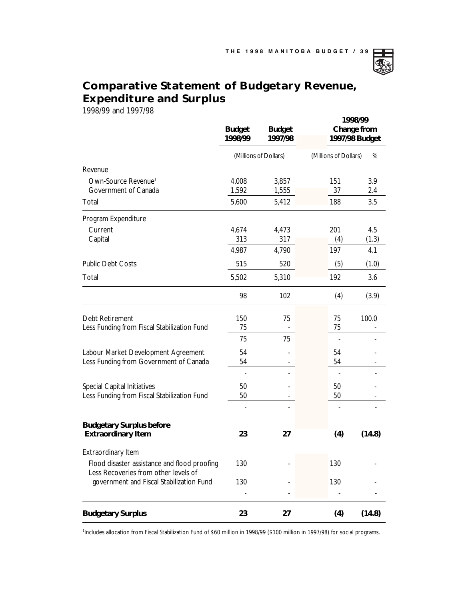### **Comparative Statement of Budgetary Revenue, Expenditure and Surplus**

1998/99 and 1997/98

|                                                                                      | <b>Budget</b><br>1998/99     | <b>Budget</b><br>1997/98 | 1998/99<br>Change from<br>1997/98 Budget |        |
|--------------------------------------------------------------------------------------|------------------------------|--------------------------|------------------------------------------|--------|
|                                                                                      | (Millions of Dollars)        |                          | (Millions of Dollars)<br>%               |        |
| Revenue                                                                              |                              |                          |                                          |        |
| Own-Source Revenue <sup>1</sup>                                                      | 4,008                        | 3,857                    | 151                                      | 3.9    |
| Government of Canada                                                                 | 1,592                        | 1,555                    | 37                                       | 2.4    |
| Total                                                                                | 5,600                        | 5,412                    | 188                                      | 3.5    |
| Program Expenditure                                                                  |                              |                          |                                          |        |
| Current                                                                              | 4,674                        | 4,473                    | 201                                      | 4.5    |
| Capital                                                                              | 313                          | 317                      | (4)                                      | (1.3)  |
|                                                                                      | 4,987                        | 4,790                    | 197                                      | 4.1    |
| <b>Public Debt Costs</b>                                                             | 515                          | 520                      | (5)                                      | (1.0)  |
| Total                                                                                | 5,502                        | 5,310                    | 192                                      | 3.6    |
|                                                                                      | 98                           | 102                      | (4)                                      | (3.9)  |
| Debt Retirement                                                                      | 150                          | 75                       | 75                                       | 100.0  |
| Less Funding from Fiscal Stabilization Fund                                          | 75                           |                          | 75                                       |        |
|                                                                                      | 75                           | 75                       |                                          |        |
| Labour Market Development Agreement                                                  | 54                           |                          | 54                                       |        |
| Less Funding from Government of Canada                                               | 54                           |                          | 54                                       |        |
|                                                                                      |                              |                          |                                          |        |
| <b>Special Capital Initiatives</b>                                                   | 50                           |                          | 50                                       |        |
| Less Funding from Fiscal Stabilization Fund                                          | 50                           |                          | 50                                       |        |
|                                                                                      | $\qquad \qquad \blacksquare$ |                          |                                          |        |
| <b>Budgetary Surplus before</b><br><b>Extraordinary Item</b>                         | 23                           | 27                       | (4)                                      | (14.8) |
| <b>Extraordinary Item</b>                                                            |                              |                          |                                          |        |
| Flood disaster assistance and flood proofing<br>Less Recoveries from other levels of | 130                          |                          | 130                                      |        |
| government and Fiscal Stabilization Fund                                             | 130                          |                          | 130                                      |        |
|                                                                                      |                              |                          |                                          |        |
| <b>Budgetary Surplus</b>                                                             | 23                           | 27                       | (4)                                      | (14.8) |

<sup>1</sup>Includes allocation from Fiscal Stabilization Fund of \$60 million in 1998/99 (\$100 million in 1997/98) for social programs.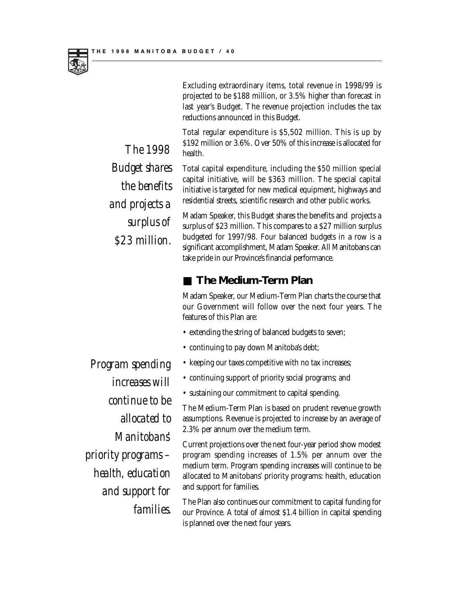*The 1998*

*Budget shares*

*and projects a*

*\$23 million.*

*the benefits*

*surplus of* 



Excluding extraordinary items, total revenue in 1998/99 is projected to be \$188 million, or 3.5% higher than forecast in last year's Budget. The revenue projection includes the tax reductions announced in this Budget.

Total regular expenditure is \$5,502 million. This is up by \$192 million or 3.6%. Over 50% of this increase is allocated for health.

Total capital expenditure, including the \$50 million special capital initiative, will be \$363 million. The special capital initiative is targeted for new medical equipment, highways and residential streets, scientific research and other public works.

Madam Speaker, this Budget shares the benefits and projects a surplus of \$23 million. This compares to a \$27 million surplus budgeted for 1997/98. Four balanced budgets in a row is a significant accomplishment, Madam Speaker. All Manitobans can take pride in our Province's financial performance.

#### ■ **The Medium-Term Plan**

Madam Speaker, our Medium-Term Plan charts the course that our Government will follow over the next four years. The features of this Plan are:

- extending the string of balanced budgets to seven;
- continuing to pay down Manitoba's debt;
- keeping our taxes competitive with no tax increases;
- continuing support of priority social programs; and
- sustaining our commitment to capital spending.

The Medium-Term Plan is based on prudent revenue growth assumptions. Revenue is projected to increase by an average of 2.3% per annum over the medium term.

Current projections over the next four-year period show modest program spending increases of 1.5% per annum over the medium term. Program spending increases will continue to be allocated to Manitobans' priority programs: health, education and support for families.

The Plan also continues our commitment to capital funding for our Province. A total of almost \$1.4 billion in capital spending is planned over the next four years.

*Program spending increases will continue to be allocated to Manitobans' priority programs – health, education and support for families.*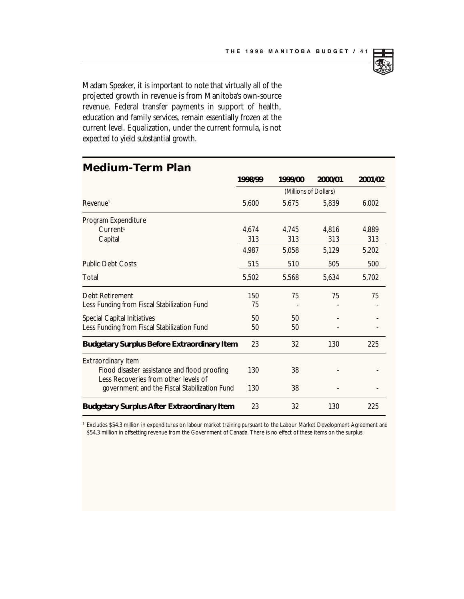

Madam Speaker, it is important to note that virtually all of the projected growth in revenue is from Manitoba's own-source revenue. Federal transfer payments in support of health, education and family services, remain essentially frozen at the current level. Equalization, under the current formula, is not expected to yield substantial growth.

| <b>uiuil</b>                                                                         |                       |         |         |         |  |  |
|--------------------------------------------------------------------------------------|-----------------------|---------|---------|---------|--|--|
|                                                                                      | 1998/99               | 1999/00 | 2000/01 | 2001/02 |  |  |
|                                                                                      | (Millions of Dollars) |         |         |         |  |  |
| Revenue <sup>1</sup>                                                                 | 5,600                 | 5,675   | 5.839   | 6,002   |  |  |
| Program Expenditure                                                                  |                       |         |         |         |  |  |
| Current <sup>1</sup>                                                                 | 4,674                 | 4.745   | 4.816   | 4.889   |  |  |
| Capital                                                                              | 313                   | 313     | 313     | 313     |  |  |
|                                                                                      | 4.987                 | 5,058   | 5,129   | 5,202   |  |  |
| <b>Public Debt Costs</b>                                                             | 515                   | 510     | 505     | 500     |  |  |
| Total                                                                                | 5,502                 | 5,568   | 5.634   | 5,702   |  |  |
| Debt Retirement                                                                      | 150                   | 75      | 75      | 75      |  |  |
| Less Funding from Fiscal Stabilization Fund                                          | 75                    |         |         |         |  |  |
| <b>Special Capital Initiatives</b>                                                   | 50                    | 50      |         |         |  |  |
| Less Funding from Fiscal Stabilization Fund                                          | 50                    | 50      |         |         |  |  |
| <b>Budgetary Surplus Before Extraordinary Item</b>                                   | 23                    | 32      | 130     | 225     |  |  |
| <b>Extraordinary Item</b>                                                            |                       |         |         |         |  |  |
| Flood disaster assistance and flood proofing<br>Less Recoveries from other levels of | 130                   | 38      |         |         |  |  |
| government and the Fiscal Stabilization Fund                                         | 130                   | 38      |         |         |  |  |
| <b>Budgetary Surplus After Extraordinary Item</b>                                    | 23                    | 32      | 130     | 225     |  |  |

#### **Medium-Term Plan**

<sup>1</sup> Excludes \$54.3 million in expenditures on labour market training pursuant to the Labour Market Development Agreement and \$54.3 million in offsetting revenue from the Government of Canada. There is no effect of these items on the surplus.